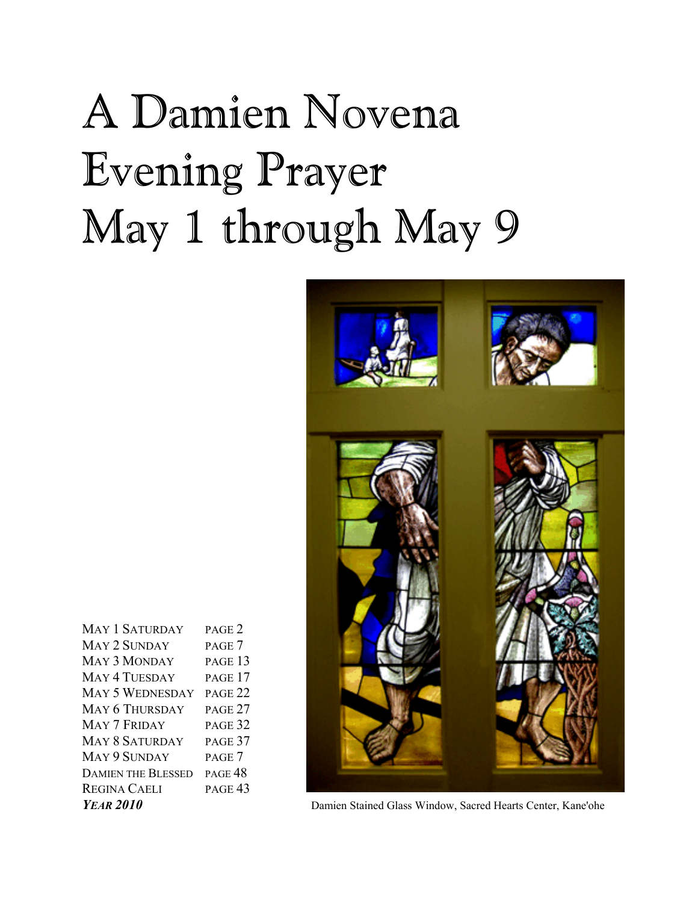# A Damien Novena Evening Prayer May 1 through May 9



**YEAR 2010** Damien Stained Glass Window, Sacred Hearts Center, Kane'ohe

| <b>MAY 1 SATURDAY</b>     | PAGE <sub>2</sub>  |
|---------------------------|--------------------|
| MAY 2 SUNDAY              | PAGE 7             |
| <b>MAY 3 MONDAY</b>       | PAGE 13            |
| <b>MAY 4 TUESDAY</b>      | PAGE 17            |
| <b>MAY 5 WEDNESDAY</b>    | PAGE <sub>22</sub> |
| <b>MAY 6 THURSDAY</b>     | PAGE 27            |
| MAY 7 FRIDAY              | PAGE 32            |
| <b>MAY 8 SATURDAY</b>     | PAGE 37            |
| MAY 9 SUNDAY              | PAGE 7             |
| <b>DAMIEN THE BLESSED</b> | PAGE <sub>48</sub> |
| <b>REGINA CAELI</b>       | PAGE <sub>43</sub> |
| $V_{EAD}$ 2010            |                    |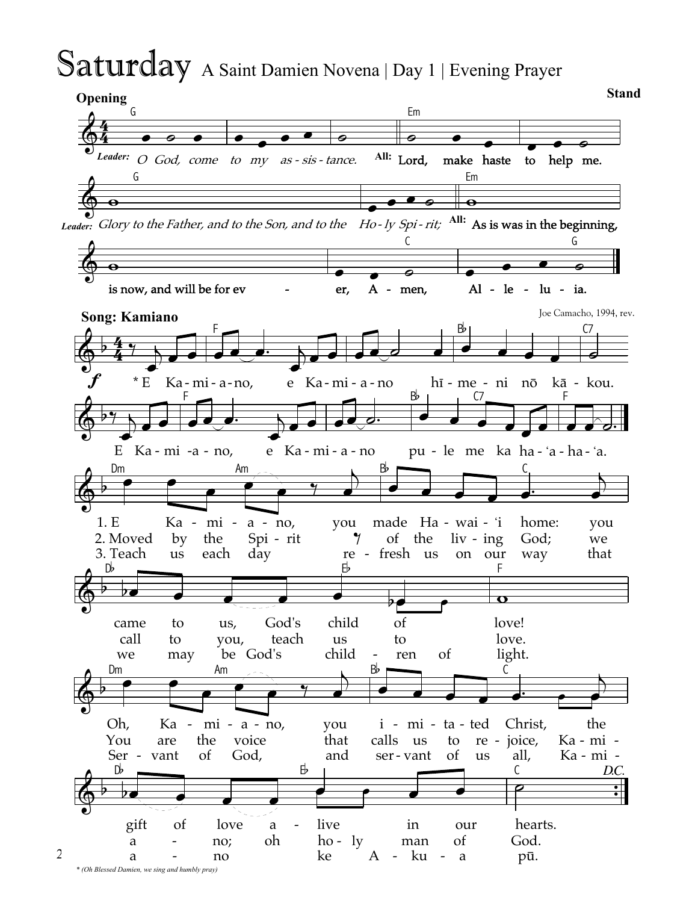# Saturday A Saint Damien Novena | Day 1 | Evening Prayer

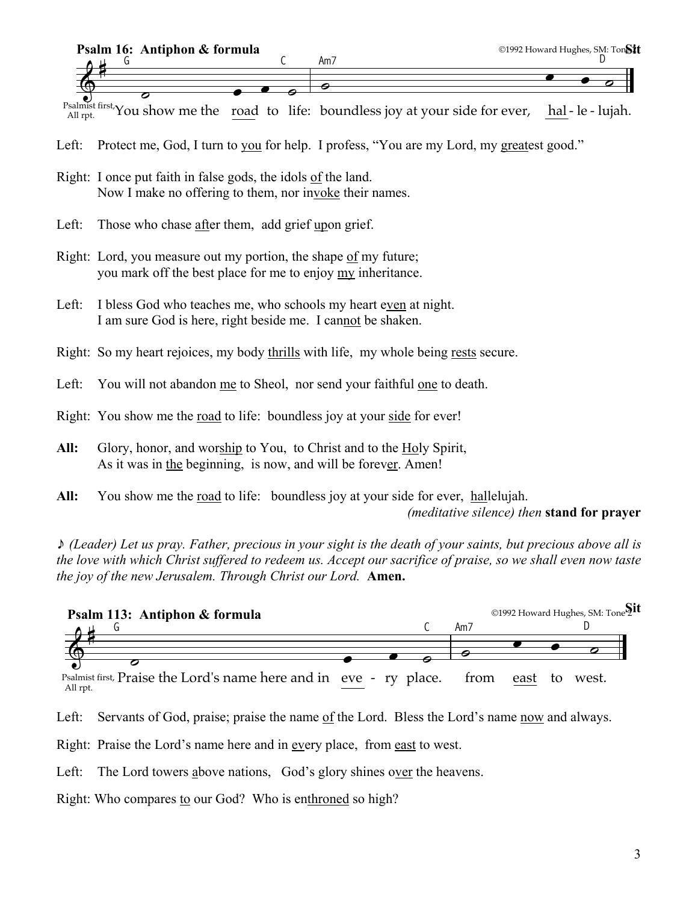

 $\frac{S_{\text{all inst}}}{\text{All rot}}$  inst. You show me the road to life: <u>hal</u>-le-lujah.

- Left: Protect me, God, I turn to you for help. I profess, "You are my Lord, my greatest good."
- Right: I once put faith in false gods, the idols of the land. Now I make no offering to them, nor invoke their names.
- Left: Those who chase after them, add grief upon grief.
- Right: Lord, you measure out my portion, the shape of my future; you mark off the best place for me to enjoy my inheritance.
- Left: I bless God who teaches me, who schools my heart even at night. I am sure God is here, right beside me. I cannot be shaken.
- Right: So my heart rejoices, my body thrills with life, my whole being rests secure.
- Left: You will not abandon me to Sheol, nor send your faithful one to death.
- Right: You show me the road to life: boundless joy at your side for ever!
- **All:** Glory, honor, and worship to You, to Christ and to the Holy Spirit, As it was in the beginning, is now, and will be forever. Amen!
- **All:** You show me the road to life: boundless joy at your side for ever, hallelujah. *(meditative silence) then* **stand for prayer**

\* *(Leader) Let us pray. Father, precious in your sight is the death of your saints, but precious above all is the love with which Christ suffered to redeem us. Accept our sacrifice of praise, so we shall even now taste the joy of the new Jerusalem. Through Christ our Lord.* **Amen.**



Left: Servants of God, praise; praise the name of the Lord. Bless the Lord's name now and always.

- Right: Praise the Lord's name here and in every place, from east to west.
- Left: The Lord towers above nations, God's glory shines over the heavens.
- Right: Who compares to our God? Who is enthroned so high?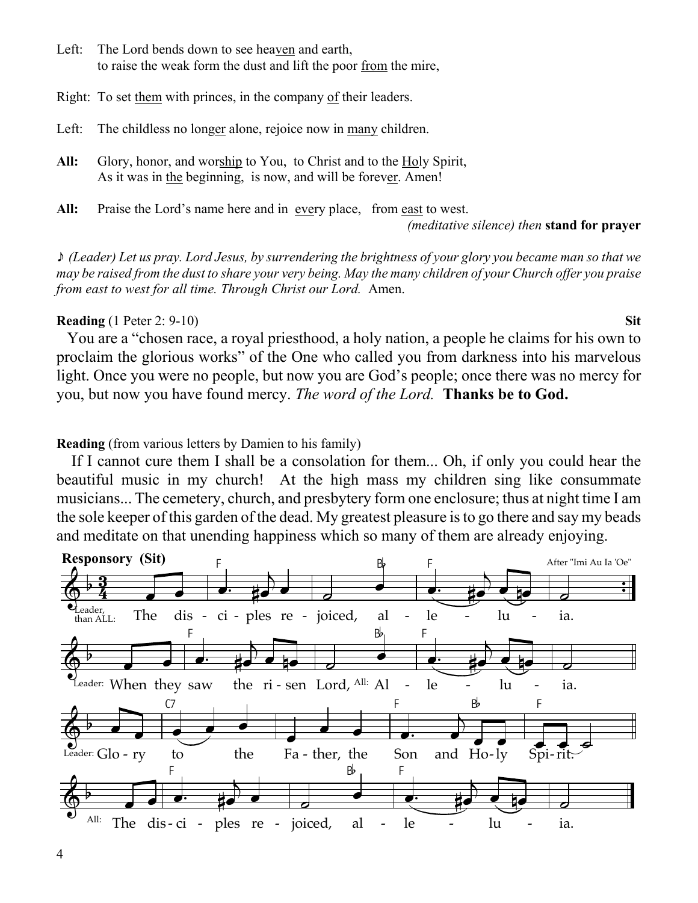- Left: The Lord bends down to see heaven and earth, to raise the weak form the dust and lift the poor from the mire,
- Right: To set them with princes, in the company of their leaders.
- Left: The childless no longer alone, rejoice now in many children.
- All: Glory, honor, and worship to You, to Christ and to the Holy Spirit, As it was in the beginning, is now, and will be forever. Amen!
- **All:** Praise the Lord's name here and in every place, from east to west.

*(meditative silence) then* **stand for prayer**

\* *(Leader) Let us pray. Lord Jesus, by surrendering the brightness of your glory you became man so that we may be raised from the dust to share your very being. May the many children of your Church offer you praise from east to west for all time. Through Christ our Lord.* Amen.

#### **Reading** (1 Peter 2: 9-10) **Sit**

 You are a "chosen race, a royal priesthood, a holy nation, a people he claims for his own to proclaim the glorious works" of the One who called you from darkness into his marvelous light. Once you were no people, but now you are God's people; once there was no mercy for you, but now you have found mercy. *The word of the Lord.* **Thanks be to God.**

**Reading** (from various letters by Damien to his family)

 If I cannot cure them I shall be a consolation for them... Oh, if only you could hear the beautiful music in my church! At the high mass my children sing like consummate musicians... The cemetery, church, and presbytery form one enclosure; thus at night time I am the sole keeper of this garden of the dead. My greatest pleasure is to go there and say my beads and meditate on that unending happiness which so many of them are already enjoying.

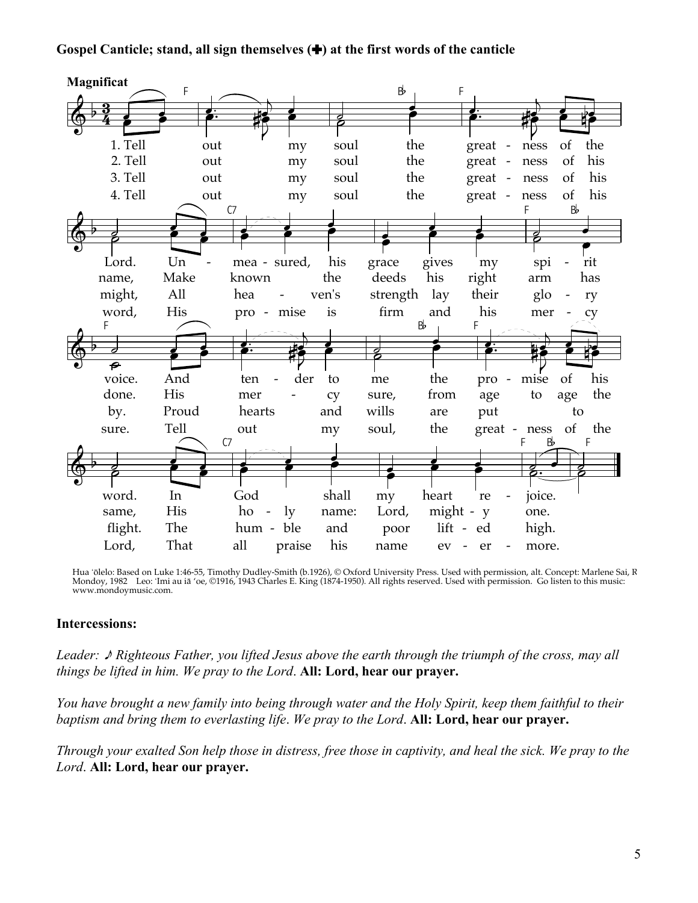### Gospel Canticle; stand, all sign themselves  $(\bigstar)$  at the first words of the canticle



Hua 'ōlelo: Based on Luke 1:46-55, Timothy Dudley-Smith (b.1926), © Oxford University Press. Used with permission, alt. Concept: Marlene Sai, R<br>Mondoy, 1982 Leo: 'Imi au iā 'oe, ©1916, 1943 Charles E. King (1874-1950). All www.mondoymusic.com.

#### **Intercessions:**

Leader:  $\triangle$  Righteous Father, you lifted Jesus above the earth through the triumph of the cross, may all things be lifted in him. We pray to the Lord. All: Lord, hear our prayer.

You have brought a new family into being through water and the Holy Spirit, keep them faithful to their baptism and bring them to everlasting life. We pray to the Lord. All: Lord, hear our prayer.

Through your exalted Son help those in distress, free those in captivity, and heal the sick. We pray to the Lord. All: Lord, hear our prayer.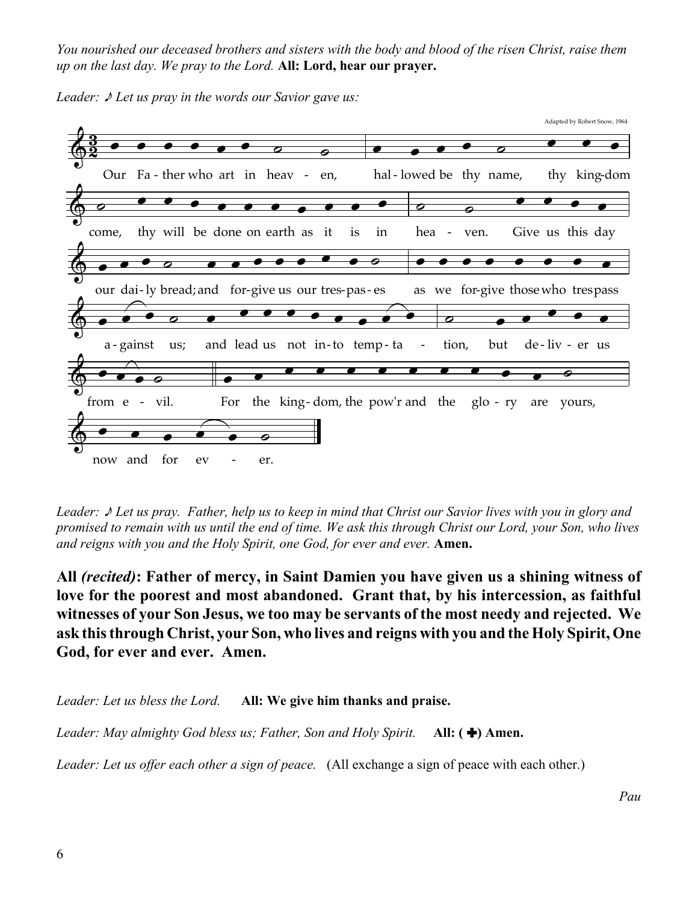*You nourished our deceased brothers and sisters with the body and blood of the risen Christ, raise them up on the last day. We pray to the Lord.* **All: Lord, hear our prayer.**



*Leader:*  $\sqrt{\ }$  *Let us pray in the words our Savior gave us:* 

*Leader:* \* *Let us pray. Father, help us to keep in mind that Christ our Savior lives with you in glory and promised to remain with us until the end of time. We ask this through Christ our Lord, your Son, who lives and reigns with you and the Holy Spirit, one God, for ever and ever.* **Amen.**

**All** *(recited)***: Father of mercy, in Saint Damien you have given us a shining witness of love for the poorest and most abandoned. Grant that, by his intercession, as faithful witnesses of your Son Jesus, we too may be servants of the most needy and rejected. We ask this through Christ, your Son, who lives and reigns with you and the Holy Spirit, One God, for ever and ever. Amen.**

*Leader: Let us bless the Lord.* **All: We give him thanks and praise.**

*Leader: May almighty God bless us; Father, Son and Holy Spirit.* **All: (+) Amen.** 

*Leader: Let us offer each other a sign of peace.* (All exchange a sign of peace with each other.)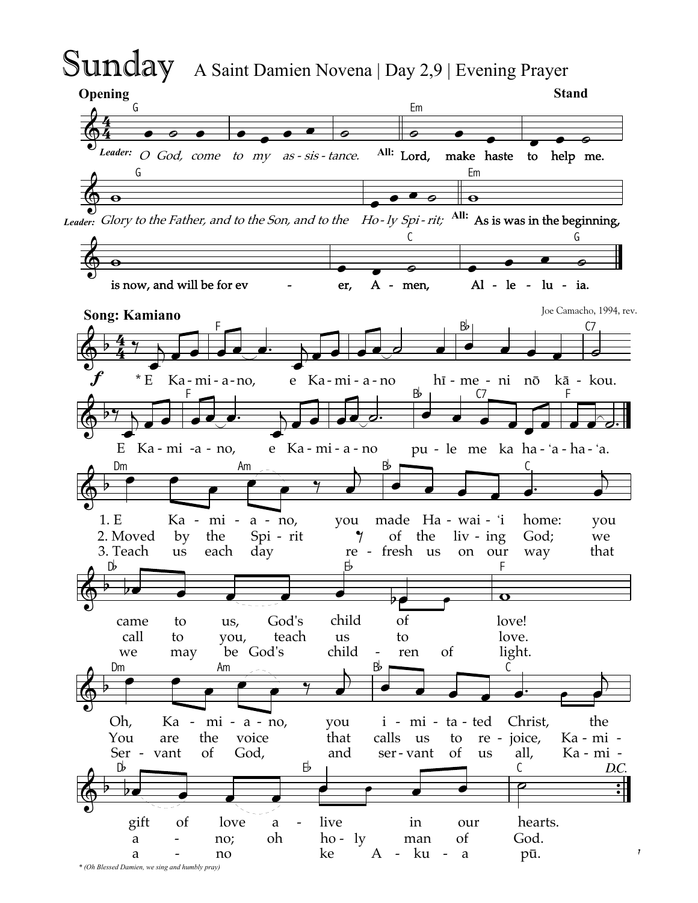# **Sunday** A Saint Damien Novena | Day 2,9 | Evening Prayer



\* (Oh Blessed Damien, we sing and humbly pray)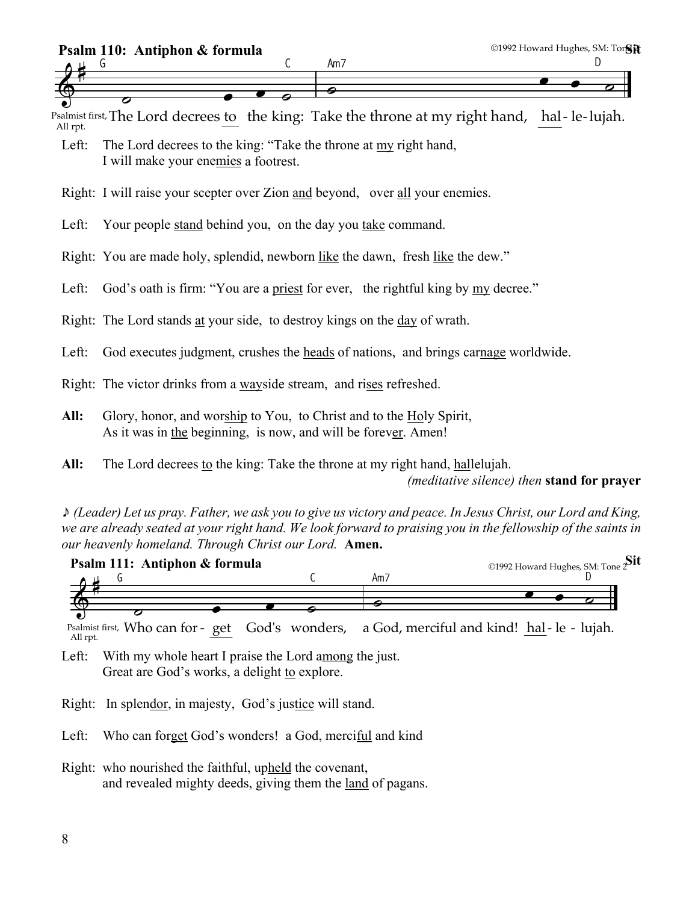

All rpt. The Lord decrees Psalmist first, The Lord decrees to the king: Take the throne at my right hand, hal-le-lujah.

- Left: The Lord decrees to the king: "Take the throne at my right hand, I will make your enemies a footrest.
- Right: I will raise your scepter over Zion and beyond, over all your enemies.

Left: Your people stand behind you, on the day you take command.

Right: You are made holy, splendid, newborn like the dawn, fresh like the dew."

Left: God's oath is firm: "You are a priest for ever, the rightful king by my decree."

Right: The Lord stands at your side, to destroy kings on the day of wrath.

Left: God executes judgment, crushes the heads of nations, and brings carnage worldwide.

Right: The victor drinks from a wayside stream, and rises refreshed.

**All:** Glory, honor, and worship to You, to Christ and to the Holy Spirit, As it was in the beginning, is now, and will be forever. Amen!

**All:** The Lord decrees to the king: Take the throne at my right hand, hallelujah.

*(meditative silence) then* **stand for prayer**

\* *(Leader) Let us pray. Father, we ask you to give us victory and peace. In Jesus Christ, our Lord and King, we are already seated at your right hand. We look forward to praising you in the fellowship of the saints in our heavenly homeland. Through Christ our Lord.* **Amen.**



All rpt. Who can for Psalmist first, Who can for - get - get God's wonders, a God, merciful and kind! <u>hal</u>-le - lujah.

Left: With my whole heart I praise the Lord among the just. Great are God's works, a delight to explore.

Right: In splendor, in majesty, God's justice will stand.

Left: Who can forget God's wonders! a God, merciful and kind

Right: who nourished the faithful, upheld the covenant, and revealed mighty deeds, giving them the land of pagans.

 $\bullet$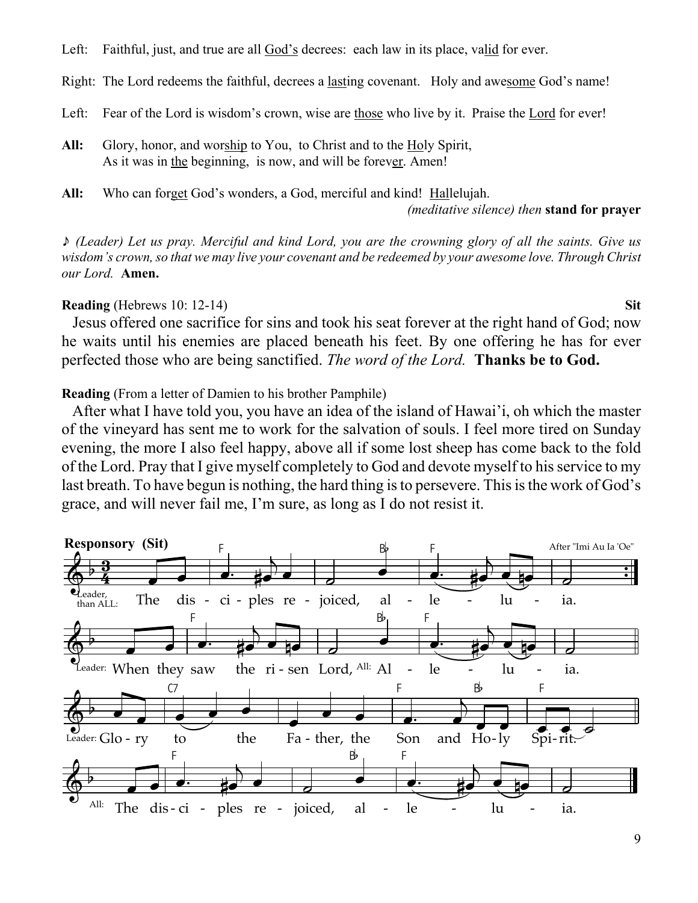Left: Faithful, just, and true are all God's decrees: each law in its place, valid for ever.

Right: The Lord redeems the faithful, decrees a lasting covenant. Holy and awesome God's name!

- Left: Fear of the Lord is wisdom's crown, wise are those who live by it. Praise the Lord for ever!
- All: Glory, honor, and worship to You, to Christ and to the Holy Spirit, As it was in the beginning, is now, and will be forever. Amen!
- All: Who can forget God's wonders, a God, merciful and kind! Hallelujah.

*(meditative silence) then* **stand for prayer**

\* *(Leader) Let us pray. Merciful and kind Lord, you are the crowning glory of all the saints. Give us wisdom's crown, so that we may live your covenant and be redeemed by your awesome love. Through Christ our Lord.* **Amen.**

# **Reading** (Hebrews 10: 12-14) **Sit**

 Jesus offered one sacrifice for sins and took his seat forever at the right hand of God; now he waits until his enemies are placed beneath his feet. By one offering he has for ever perfected those who are being sanctified. *The word of the Lord.* **Thanks be to God.**

**Reading** (From a letter of Damien to his brother Pamphile)

 After what I have told you, you have an idea of the island of Hawai'i, oh which the master of the vineyard has sent me to work for the salvation of souls. I feel more tired on Sunday evening, the more I also feel happy, above all if some lost sheep has come back to the fold of the Lord. Pray that I give myself completely to God and devote myself to his service to my last breath. To have begun is nothing, the hard thing is to persevere. This is the work of God's grace, and will never fail me, I'm sure, as long as I do not resist it.

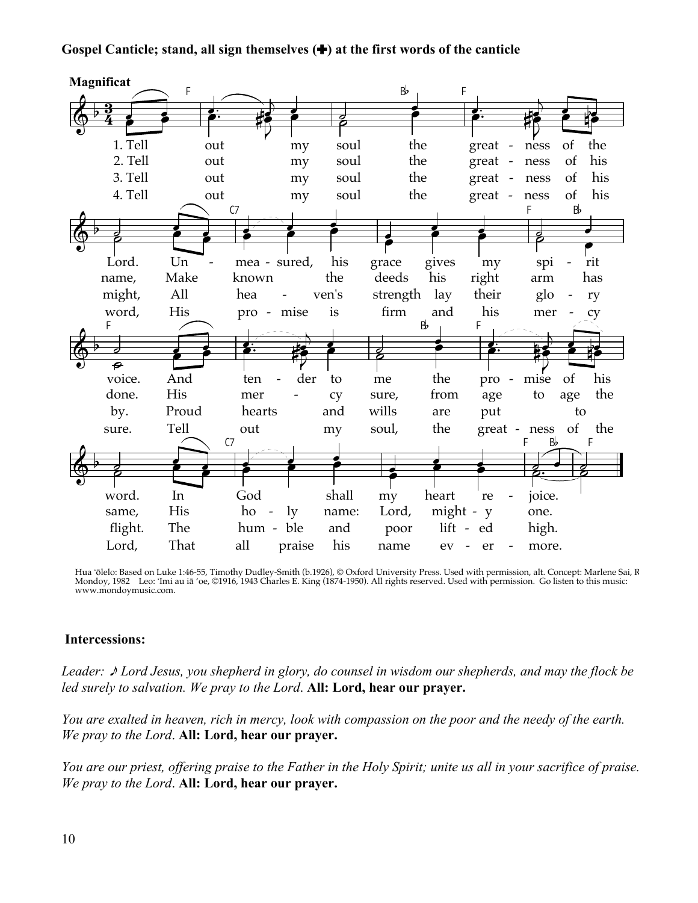### Gospel Canticle; stand, all sign themselves  $(\bigstar)$  at the first words of the canticle



Hua 'ōlelo: Based on Luke 1:46-55, Timothy Dudley-Smith (b.1926), © Oxford University Press. Used with permission, alt. Concept: Marlene Sai, R<br>Mondoy, 1982 Leo: 'Imi au iā 'oe, ©1916, 1943 Charles E. King (1874-1950). All www.mondoymusic.com.

#### **Intercessions:**

Leader:  $\triangle$  Lord Jesus, you shepherd in glory, do counsel in wisdom our shepherds, and may the flock be led surely to salvation. We pray to the Lord. All: Lord, hear our prayer.

You are exalted in heaven, rich in mercy, look with compassion on the poor and the needy of the earth. We pray to the Lord. All: Lord, hear our prayer.

You are our priest, offering praise to the Father in the Holy Spirit; unite us all in your sacrifice of praise. We pray to the Lord. All: Lord, hear our prayer.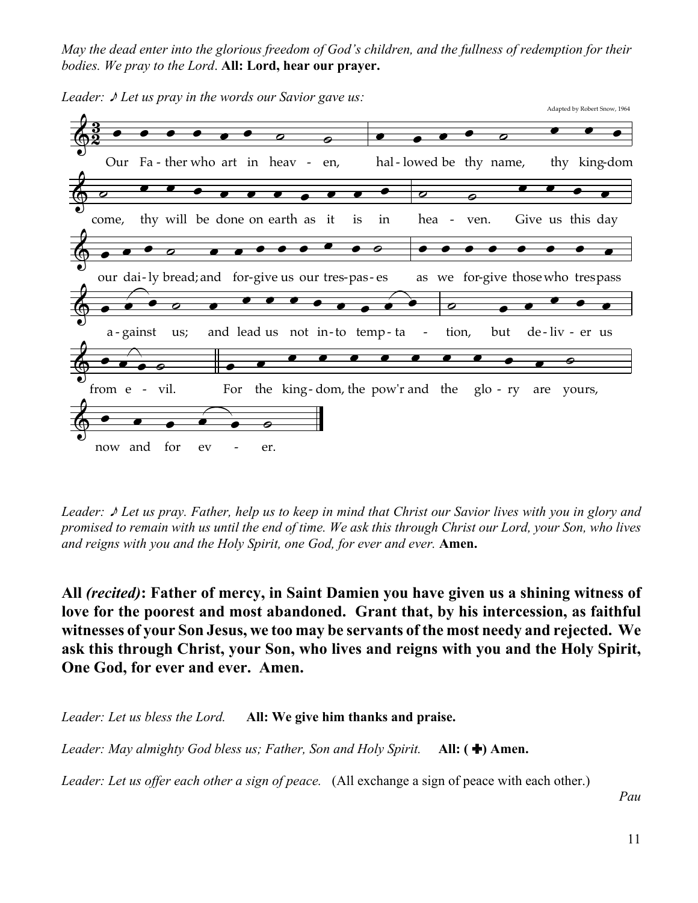*May the dead enter into the glorious freedom of God's children, and the fullness of redemption for their bodies. We pray to the Lord*. **All: Lord, hear our prayer.**



*Leader:*  $\sqrt{\ }$  *Let us pray in the words our Savior gave us:* 

*Leader:* \* *Let us pray. Father, help us to keep in mind that Christ our Savior lives with you in glory and promised to remain with us until the end of time. We ask this through Christ our Lord, your Son, who lives and reigns with you and the Holy Spirit, one God, for ever and ever.* **Amen.**

**All** *(recited)***: Father of mercy, in Saint Damien you have given us a shining witness of love for the poorest and most abandoned. Grant that, by his intercession, as faithful witnesses of your Son Jesus, we too may be servants of the most needy and rejected. We ask this through Christ, your Son, who lives and reigns with you and the Holy Spirit, One God, for ever and ever. Amen.**

*Leader: Let us bless the Lord.* **All: We give him thanks and praise.**

*Leader: May almighty God bless us; Father, Son and Holy Spirit.* **All: (+) Amen.** 

*Leader: Let us offer each other a sign of peace.* (All exchange a sign of peace with each other.)

*Pau*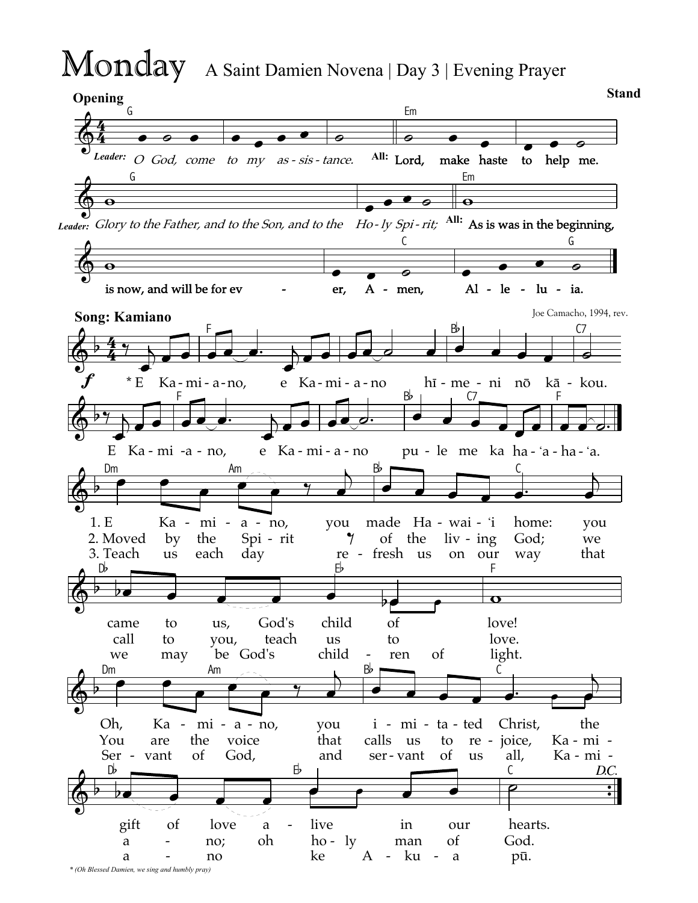# Monday A Saint Damien Novena | Day 3 | Evening Prayer

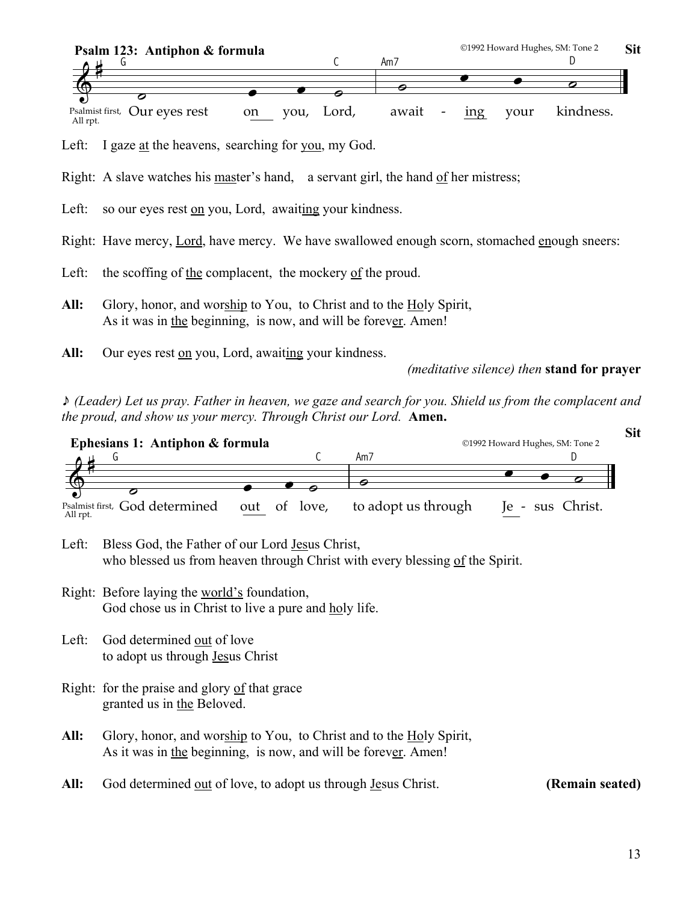

Left: I gaze at the heavens, searching for you, my God.

Right: A slave watches his master's hand, a servant girl, the hand of her mistress;

Left: so our eyes rest on you, Lord, awaiting your kindness.

Right: Have mercy, Lord, have mercy. We have swallowed enough scorn, stomached enough sneers:

- Left: the scoffing of the complacent, the mockery of the proud.
- **All:** Glory, honor, and worship to You, to Christ and to the Holy Spirit, As it was in the beginning, is now, and will be forever. Amen!
- **All:** Our eyes rest on you, Lord, awaiting your kindness.

*(meditative silence) then* **stand for prayer**

\* *(Leader) Let us pray. Father in heaven, we gaze and search for you. Shield us from the complacent and the proud, and show us your mercy. Through Christ our Lord.* **Amen.**



Left: Bless God, the Father of our Lord Jesus Christ, who blessed us from heaven through Christ with every blessing of the Spirit.

- Right: Before laying the world's foundation, God chose us in Christ to live a pure and holy life.
- Left: God determined out of love to adopt us through Jesus Christ
- Right: for the praise and glory of that grace granted us in the Beloved.
- **All:** Glory, honor, and worship to You, to Christ and to the Holy Spirit, As it was in the beginning, is now, and will be forever. Amen!
- All: God determined <u>out</u> of love, to adopt us through <u>Jesus Christ.</u> **(Remain seated)**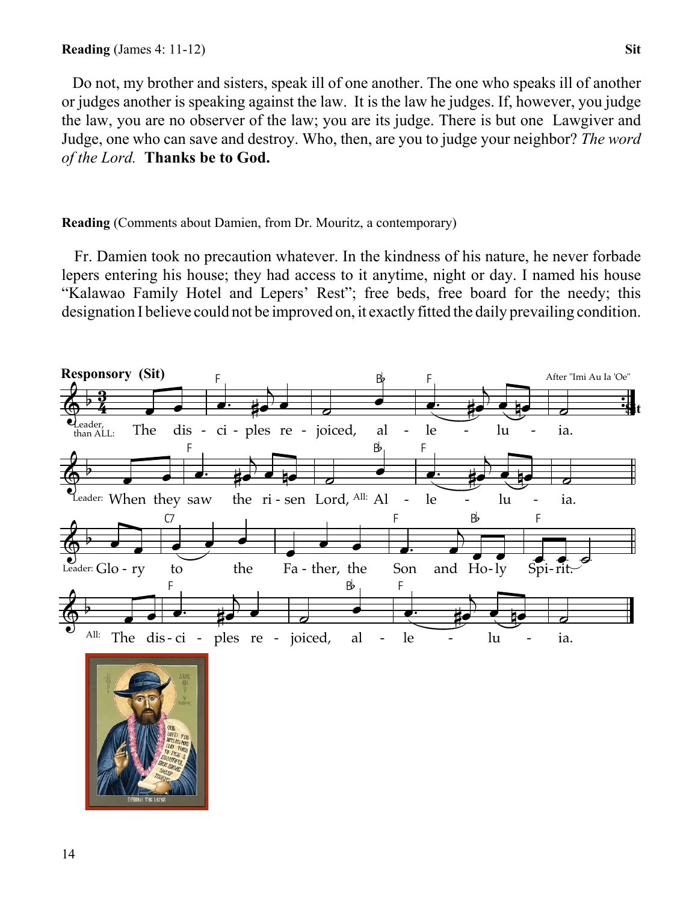Do not, my brother and sisters, speak ill of one another. The one who speaks ill of another or judges another is speaking against the law. It is the law he judges. If, however, you judge the law, you are no observer of the law; you are its judge. There is but one Lawgiver and Judge, one who can save and destroy. Who, then, are you to judge your neighbor? *The word of the Lord.* **Thanks be to God.**

# **Reading** (Comments about Damien, from Dr. Mouritz, a contemporary)

 Fr. Damien took no precaution whatever. In the kindness of his nature, he never forbade lepers entering his house; they had access to it anytime, night or day. I named his house "Kalawao Family Hotel and Lepers' Rest"; free beds, free board for the needy; this designation I believe could not be improved on, it exactly fitted the daily prevailing condition.



**DRAIGH THE LEPE**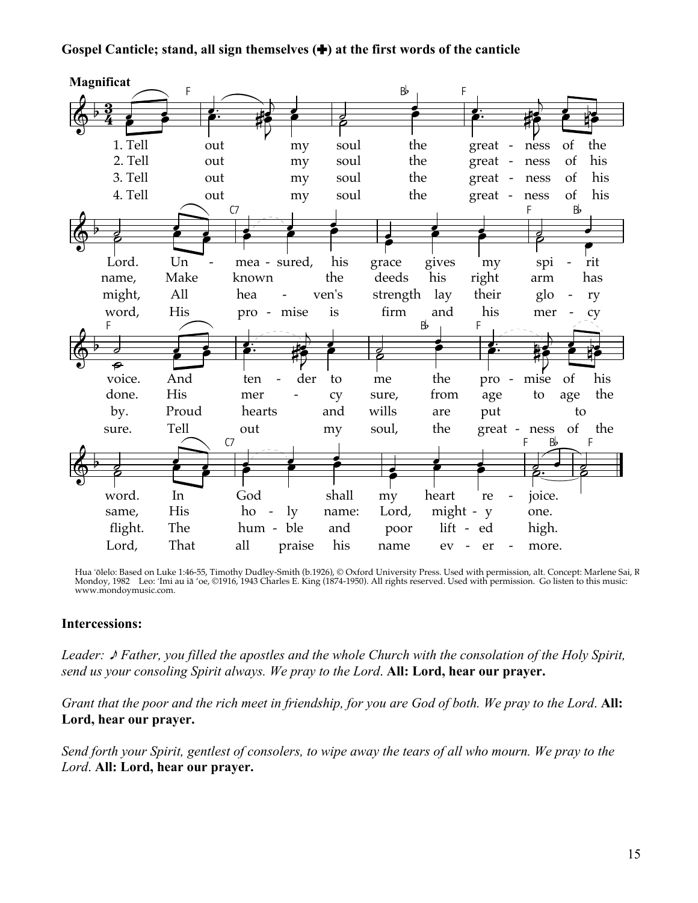### Gospel Canticle; stand, all sign themselves  $(\bigstar)$  at the first words of the canticle



Hua 'ōlelo: Based on Luke 1:46-55, Timothy Dudley-Smith (b.1926), © Oxford University Press. Used with permission, alt. Concept: Marlene Sai, R<br>Mondoy, 1982 Leo: 'Imi au iā 'oe, ©1916, 1943 Charles E. King (1874-1950). All www.mondoymusic.com.

#### **Intercessions:**

Leader:  $\triangle$  Father, you filled the apostles and the whole Church with the consolation of the Holy Spirit, send us your consoling Spirit always. We pray to the Lord. All: Lord, hear our prayer.

Grant that the poor and the rich meet in friendship, for you are God of both. We pray to the Lord. All: Lord, hear our prayer.

Send forth your Spirit, gentlest of consolers, to wipe away the tears of all who mourn. We pray to the Lord. All: Lord, hear our praver.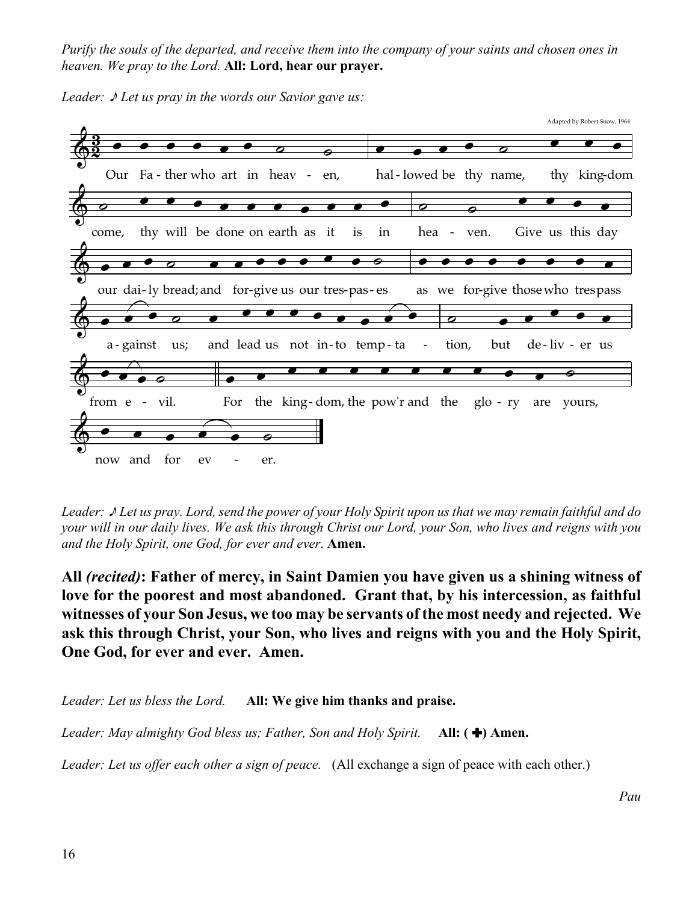*Purify the souls of the departed, and receive them into the company of your saints and chosen ones in heaven. We pray to the Lord.* **All: Lord, hear our prayer.**





*Leader:* \* *Let us pray. Lord, send the power of your Holy Spirit upon us that we may remain faithful and do your will in our daily lives. We ask this through Christ our Lord, your Son, who lives and reigns with you and the Holy Spirit, one God, for ever and ever*. **Amen.**

**All** *(recited)***: Father of mercy, in Saint Damien you have given us a shining witness of love for the poorest and most abandoned. Grant that, by his intercession, as faithful witnesses of your Son Jesus, we too may be servants of the most needy and rejected. We ask this through Christ, your Son, who lives and reigns with you and the Holy Spirit, One God, for ever and ever. Amen.**

*Leader: Let us bless the Lord.* **All: We give him thanks and praise.**

*Leader: May almighty God bless us; Father, Son and Holy Spirit.* **All: (+) Amen.** 

*Leader: Let us offer each other a sign of peace.* (All exchange a sign of peace with each other.)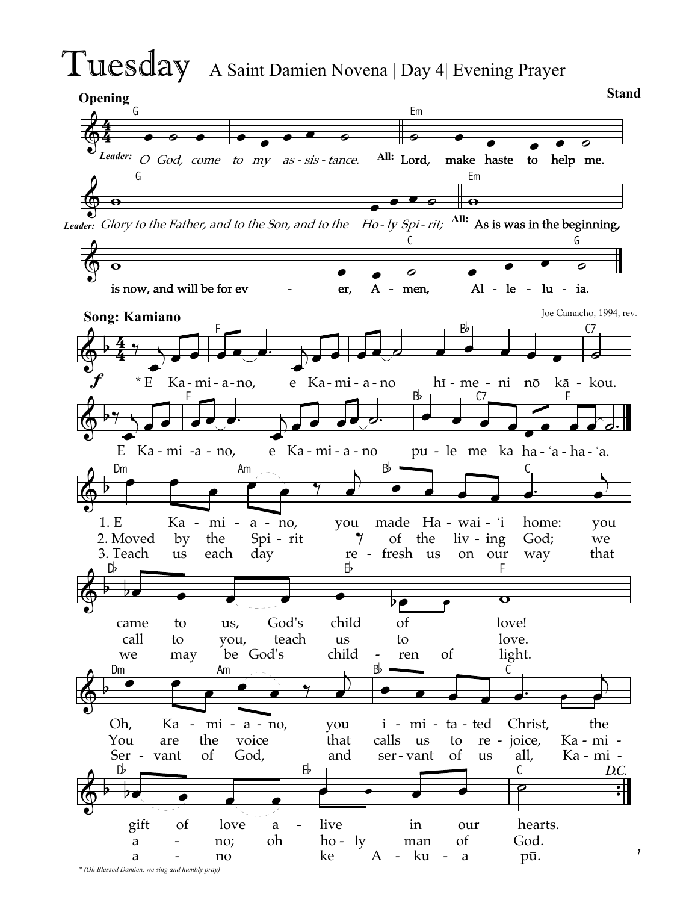# Tuesday A Saint Damien Novena | Day 4| Evening Prayer

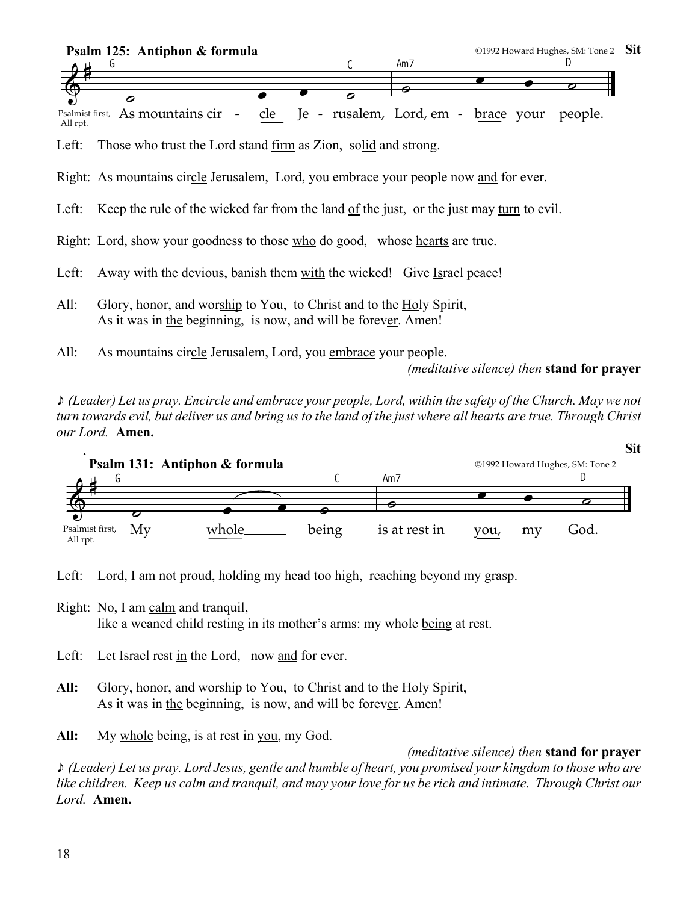

All rpt. As mountains cir cle - cle Je - rusalem, Lord, em - b<u>rac</u>e your people.

Left: Those who trust the Lord stand firm as Zion, solid and strong.

- Right: As mountains circle Jerusalem, Lord, you embrace your people now and for ever.
- Left: Keep the rule of the wicked far from the land of the just, or the just may turn to evil.

Right: Lord, show your goodness to those who do good, whose hearts are true.

- Left: Away with the devious, banish them with the wicked! Give Israel peace!
- All: Glory, honor, and worship to You, to Christ and to the Holy Spirit, As it was in the beginning, is now, and will be forever. Amen!

All: As mountains circle Jerusalem, Lord, you embrace your people.

*(meditative silence) then* **stand for prayer**

\* *(Leader) Let us pray. Encircle and embrace your people, Lord, within the safety of the Church. May we not turn towards evil, but deliver us and bring us to the land of the just where all hearts are true. Through Christ our Lord.* **Amen.**



Left: Lord, I am not proud, holding my head too high, reaching beyond my grasp.

- Right: No, I am calm and tranquil, like a weaned child resting in its mother's arms: my whole being at rest.
- Left: Let Israel rest in the Lord, now and for ever.
- All: Glory, honor, and worship to You, to Christ and to the Holy Spirit, As it was in the beginning, is now, and will be forever. Amen!

**All:** My whole being, is at rest in you, my God.

# *(meditative silence) then* **stand for prayer**

\* *(Leader) Let us pray. Lord Jesus, gentle and humble of heart, you promised your kingdom to those who are like children. Keep us calm and tranquil, and may your love for us be rich and intimate. Through Christ our Lord.* **Amen.**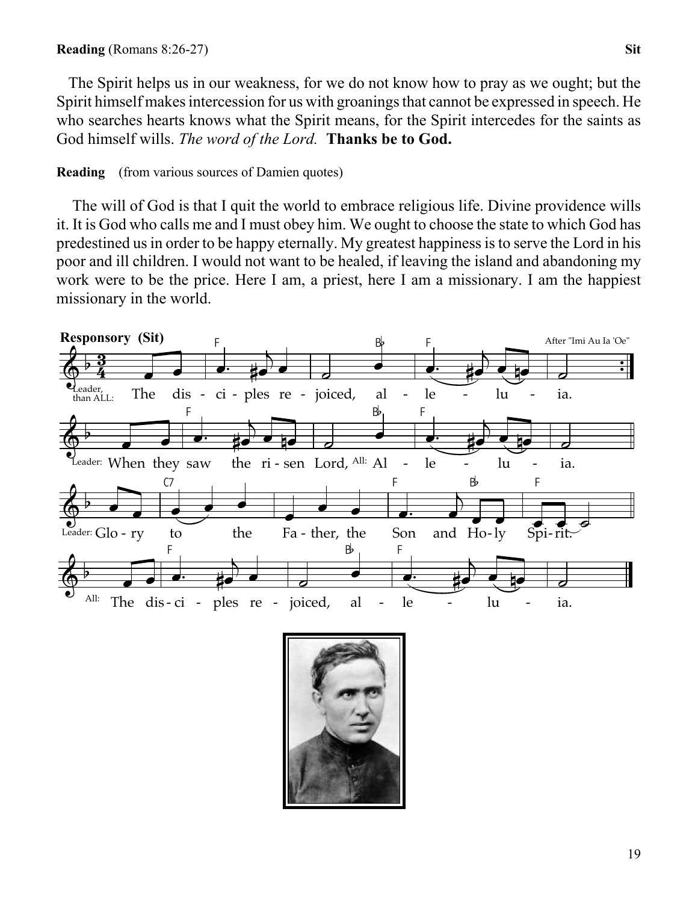The Spirit helps us in our weakness, for we do not know how to pray as we ought; but the Spirit himself makes intercession for us with groanings that cannot be expressed in speech. He who searches hearts knows what the Spirit means, for the Spirit intercedes for the saints as God himself wills. *The word of the Lord.* **Thanks be to God.**

**Reading** (from various sources of Damien quotes)

 The will of God is that I quit the world to embrace religious life. Divine providence wills it. It is God who calls me and I must obey him. We ought to choose the state to which God has predestined us in order to be happy eternally. My greatest happiness is to serve the Lord in his poor and ill children. I would not want to be healed, if leaving the island and abandoning my work were to be the price. Here I am, a priest, here I am a missionary. I am the happiest missionary in the world.



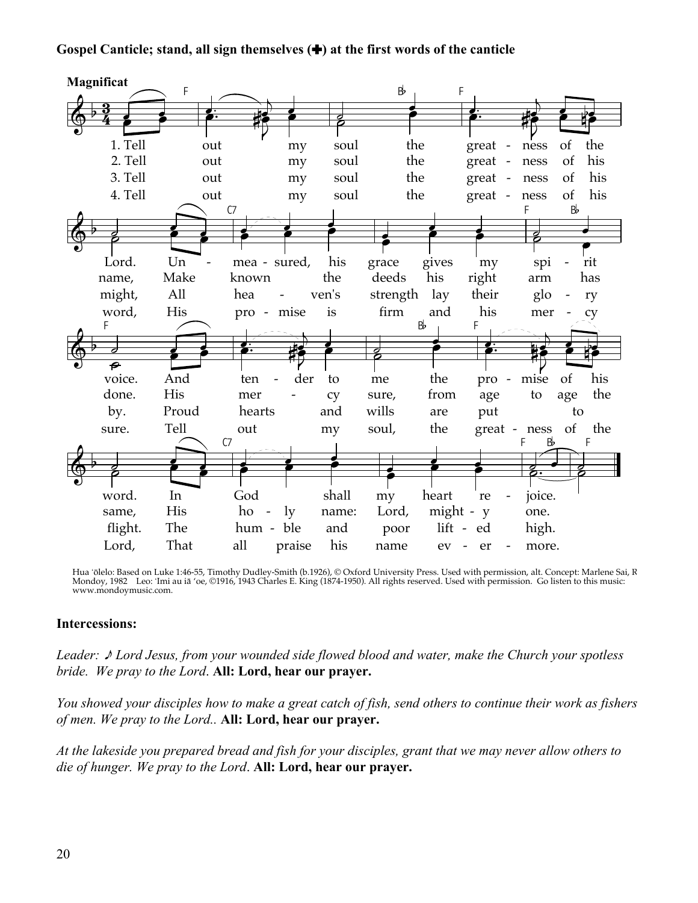### Gospel Canticle; stand, all sign themselves  $(\bigstar)$  at the first words of the canticle



Hua 'ōlelo: Based on Luke 1:46-55, Timothy Dudley-Smith (b.1926), © Oxford University Press. Used with permission, alt. Concept: Marlene Sai, R<br>Mondoy, 1982 Leo: 'Imi au iā 'oe, ©1916, 1943 Charles E. King (1874-1950). All www.mondoymusic.com.

#### **Intercessions:**

Leader:  $\triangle$  Lord Jesus, from your wounded side flowed blood and water, make the Church your spotless bride. We pray to the Lord. All: Lord, hear our prayer.

You showed vour disciples how to make a great catch of fish, send others to continue their work as fishers of men. We pray to the Lord.. All: Lord, hear our prayer.

At the lakeside you prepared bread and fish for your disciples, grant that we may never allow others to die of hunger. We pray to the Lord. All: Lord, hear our prayer.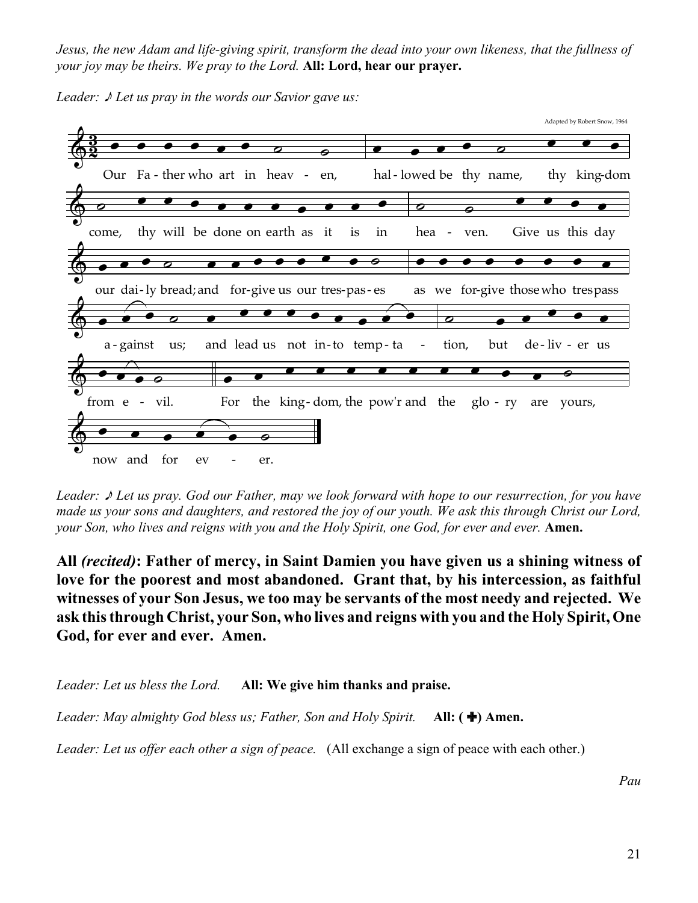*Jesus, the new Adam and life-giving spirit, transform the dead into your own likeness, that the fullness of your joy may be theirs. We pray to the Lord.* **All: Lord, hear our prayer.**



*Leader:*  $\sqrt{\ }$  *Let us pray in the words our Savior gave us:* 

*Leader:* \* *Let us pray. God our Father, may we look forward with hope to our resurrection, for you have made us your sons and daughters, and restored the joy of our youth. We ask this through Christ our Lord, your Son, who lives and reigns with you and the Holy Spirit, one God, for ever and ever.* **Amen.**

**All** *(recited)***: Father of mercy, in Saint Damien you have given us a shining witness of love for the poorest and most abandoned. Grant that, by his intercession, as faithful witnesses of your Son Jesus, we too may be servants of the most needy and rejected. We ask this through Christ, your Son, who lives and reigns with you and the Holy Spirit, One God, for ever and ever. Amen.**

*Leader: Let us bless the Lord.* **All: We give him thanks and praise.**

*Leader: May almighty God bless us; Father, Son and Holy Spirit.* **All: (+) Amen.** 

*Leader: Let us offer each other a sign of peace.* (All exchange a sign of peace with each other.)

*Pau*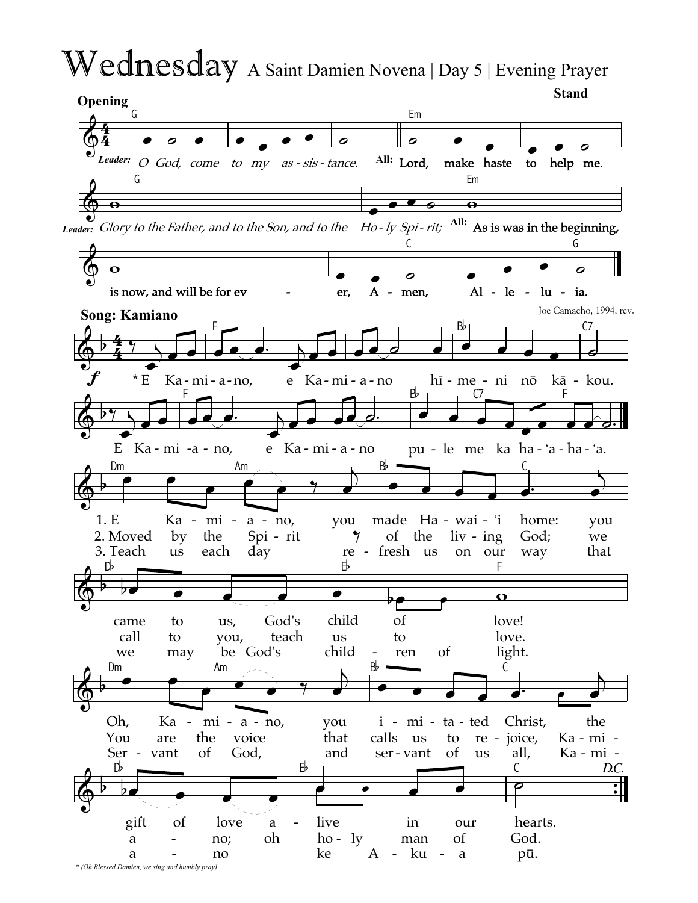# Wednesday A Saint Damien Novena | Day 5 | Evening Prayer

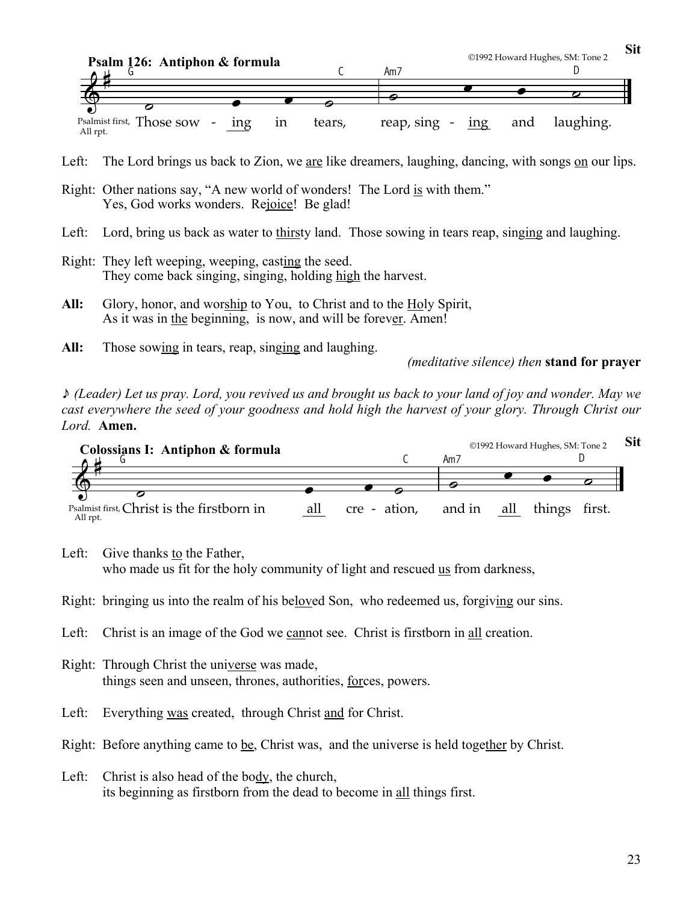

Left: The Lord brings us back to Zion, we are like dreamers, laughing, dancing, with songs on our lips.

- Right: Other nations say, "A new world of wonders! The Lord is with them." Yes, God works wonders. Rejoice! Be glad!
- Left: Lord, bring us back as water to thirsty land. Those sowing in tears reap, singing and laughing.
- Right: They left weeping, weeping, casting the seed. They come back singing, singing, holding high the harvest.
- **All:** Glory, honor, and worship to You, to Christ and to the Holy Spirit, As it was in the beginning, is now, and will be forever. Amen!
- **All:** Those sowing in tears, reap, singing and laughing.

*(meditative silence) then* **stand for prayer**

\* *(Leader) Let us pray. Lord, you revived us and brought us back to your land of joy and wonder. May we cast everywhere the seed of your goodness and hold high the harvest of your glory. Through Christ our Lord.* **Amen.**



Left: Give thanks to the Father, who made us fit for the holy community of light and rescued us from darkness,

- Right: bringing us into the realm of his beloved Son, who redeemed us, forgiving our sins.
- Left: Christ is an image of the God we cannot see. Christ is firstborn in all creation.
- Right: Through Christ the universe was made, things seen and unseen, thrones, authorities, forces, powers.
- Left: Everything was created, through Christ and for Christ.

Right: Before anything came to be, Christ was, and the universe is held together by Christ.

Left: Christ is also head of the body, the church, its beginning as firstborn from the dead to become in all things first.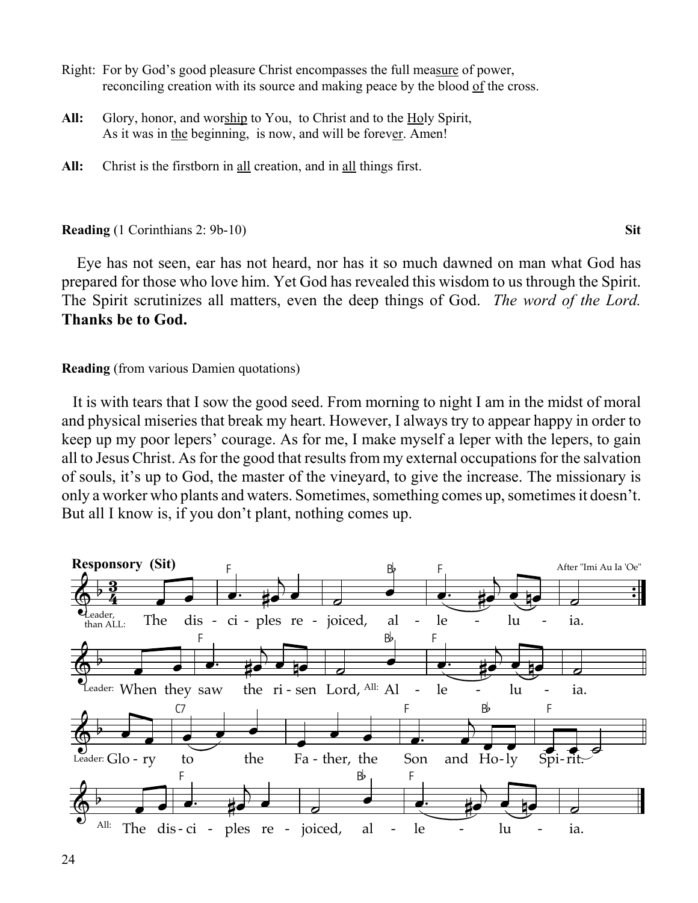- Right: For by God's good pleasure Christ encompasses the full measure of power, reconciling creation with its source and making peace by the blood of the cross.
- All: Glory, honor, and worship to You, to Christ and to the Holy Spirit, As it was in the beginning, is now, and will be forever. Amen!
- **All:** Christ is the firstborn in all creation, and in all things first.

#### **Reading** (1 Corinthians 2: 9b-10) **Sit**

 Eye has not seen, ear has not heard, nor has it so much dawned on man what God has prepared for those who love him. Yet God has revealed this wisdom to us through the Spirit. The Spirit scrutinizes all matters, even the deep things of God. *The word of the Lord.* **Thanks be to God.**

#### **Reading** (from various Damien quotations)

It is with tears that I sow the good seed. From morning to night I am in the midst of moral and physical miseries that break my heart. However, I always try to appear happy in order to keep up my poor lepers' courage. As for me, I make myself a leper with the lepers, to gain all to Jesus Christ. As for the good that results from my external occupations for the salvation of souls, it's up to God, the master of the vineyard, to give the increase. The missionary is only a worker who plants and waters. Sometimes, something comes up, sometimes it doesn't. But all I know is, if you don't plant, nothing comes up.

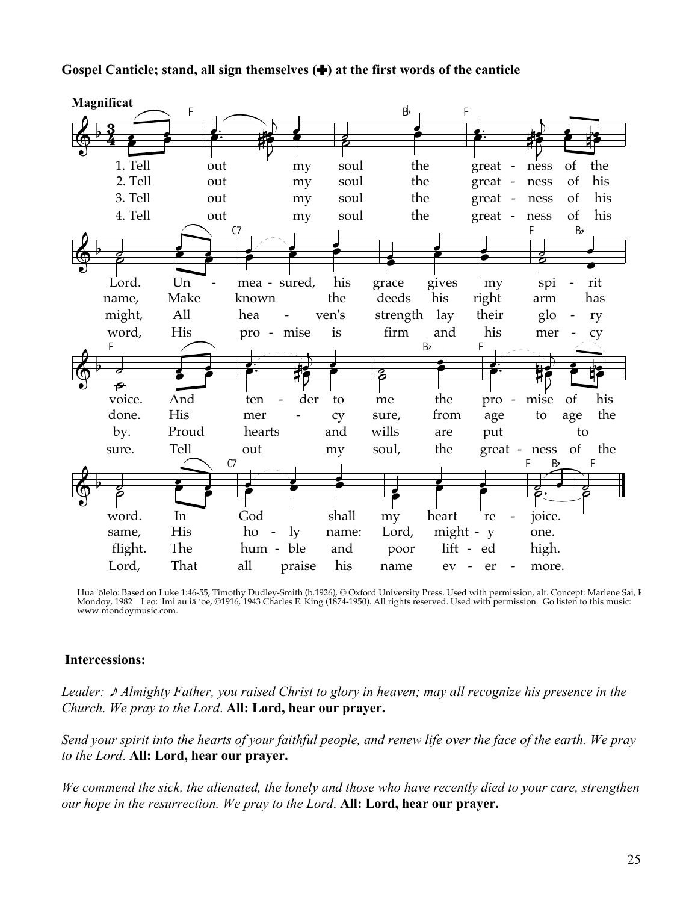



Hua 'ōlelo: Based on Luke 1:46-55, Timothy Dudley-Smith (b.1926), © Oxford University Press. Used with permission, alt. Concept: Marlene Sai, I<br>Mondoy, 1982 Leo: 'Imi au iā 'oe, ©1916, 1943 Charles E. King (1874-1950). All www.mondovmusic.com.

# **Intercessions:**

Leader:  $\triangle$  Almighty Father, you raised Christ to glory in heaven; may all recognize his presence in the Church. We pray to the Lord. All: Lord, hear our prayer.

Send your spirit into the hearts of your faithful people, and renew life over the face of the earth. We pray to the Lord. All: Lord, hear our prayer.

We commend the sick, the alienated, the lonely and those who have recently died to your care, strengthen our hope in the resurrection. We pray to the Lord. All: Lord, hear our prayer.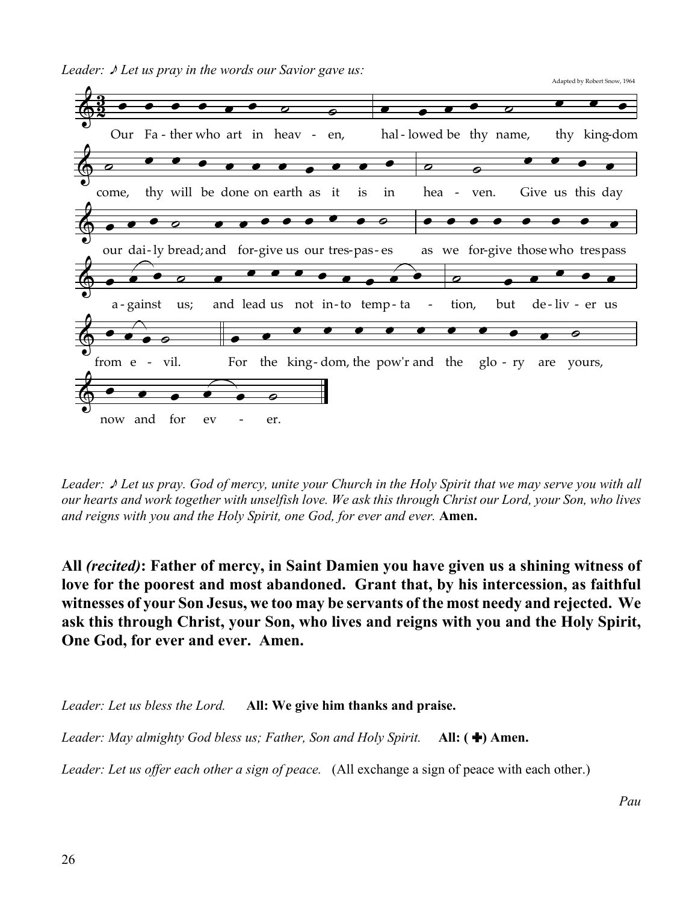



*Leader:* \* *Let us pray. God of mercy, unite your Church in the Holy Spirit that we may serve you with all our hearts and work together with unselfish love. We ask this through Christ our Lord, your Son, who lives and reigns with you and the Holy Spirit, one God, for ever and ever.* **Amen.**

**All** *(recited)***: Father of mercy, in Saint Damien you have given us a shining witness of love for the poorest and most abandoned. Grant that, by his intercession, as faithful witnesses of your Son Jesus, we too may be servants of the most needy and rejected. We ask this through Christ, your Son, who lives and reigns with you and the Holy Spirit, One God, for ever and ever. Amen.**

*Leader: Let us bless the Lord.* **All: We give him thanks and praise.**

*Leader: May almighty God bless us; Father, Son and Holy Spirit.* **All: (+) Amen.** 

*Leader: Let us offer each other a sign of peace.* (All exchange a sign of peace with each other.)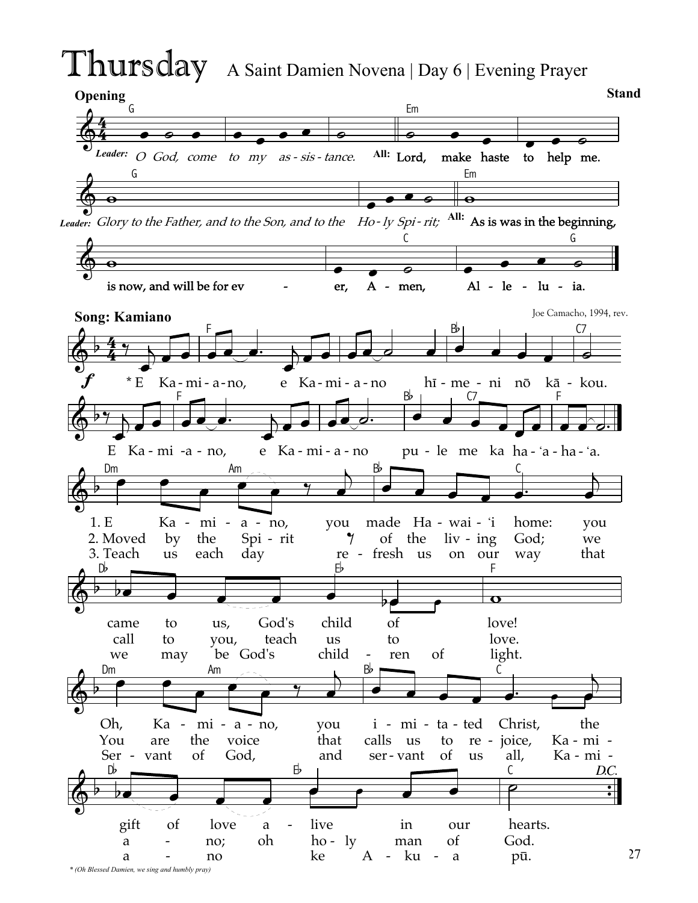# Thursday A Saint Damien Novena | Day 6 | Evening Prayer

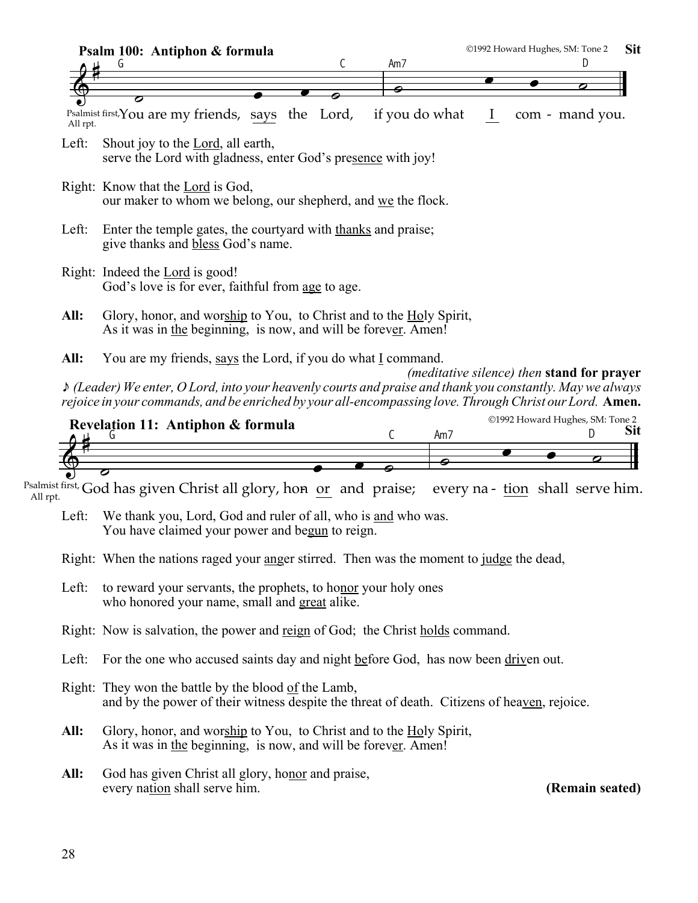| ©1992 Howard Hughes, SM: Tone 2<br>Sit<br>Psalm 100: Antiphon & formula                                 |                                                                                                                                                                                       |                |          |  |                                                          |  |  |  |  |
|---------------------------------------------------------------------------------------------------------|---------------------------------------------------------------------------------------------------------------------------------------------------------------------------------------|----------------|----------|--|----------------------------------------------------------|--|--|--|--|
|                                                                                                         | С<br>G                                                                                                                                                                                | Am7            |          |  | D                                                        |  |  |  |  |
|                                                                                                         |                                                                                                                                                                                       |                |          |  |                                                          |  |  |  |  |
| All rpt.                                                                                                | 0<br>Psalmist first, You are my friends, says the Lord,                                                                                                                               | if you do what | $\bf{l}$ |  | com - mand you.                                          |  |  |  |  |
| Left:                                                                                                   | Shout joy to the Lord, all earth,<br>serve the Lord with gladness, enter God's presence with joy!                                                                                     |                |          |  |                                                          |  |  |  |  |
|                                                                                                         | Right: Know that the Lord is God,<br>our maker to whom we belong, our shepherd, and we the flock.                                                                                     |                |          |  |                                                          |  |  |  |  |
| Left:                                                                                                   | Enter the temple gates, the courty and with thanks and praise;<br>give thanks and bless God's name.                                                                                   |                |          |  |                                                          |  |  |  |  |
|                                                                                                         | Right: Indeed the Lord is good!<br>God's love is for ever, faithful from age to age.                                                                                                  |                |          |  |                                                          |  |  |  |  |
| All:                                                                                                    | Glory, honor, and worship to You, to Christ and to the Holy Spirit,<br>As it was in the beginning, is now, and will be forever. Amen!                                                 |                |          |  |                                                          |  |  |  |  |
| All:                                                                                                    | You are my friends, says the Lord, if you do what $I$ command.<br>$\triangle$ (Leader) We enter, O Lord, into your heavenly courts and praise and thank you constantly. May we always |                |          |  | <i>(meditative silence)</i> then <b>stand for prayer</b> |  |  |  |  |
| rejoice in your commands, and be enriched by your all-encompassing love. Through Christ our Lord. Amen. |                                                                                                                                                                                       |                |          |  |                                                          |  |  |  |  |

| Revelation 11: Antiphon & formula                  | ©1992 Howard Hughes, SM: Tone 2 |    |  |  |  |  |  |
|----------------------------------------------------|---------------------------------|----|--|--|--|--|--|
|                                                    |                                 | Am |  |  |  |  |  |
|                                                    |                                 |    |  |  |  |  |  |
|                                                    |                                 |    |  |  |  |  |  |
|                                                    |                                 |    |  |  |  |  |  |
| $\mathbf{r}$ Cost $\mathbf{r}$<br>$\sim$ 1<br>. 11 |                                 |    |  |  |  |  |  |

<sup>salmust first,</sup> God has given Christ all glory, ho<del>n</del><br><sup>All rpt.</sup> or and praise; <sup>Psalmist first,</sup> God has given Christ all glory, hon <u>or</u> and praise; every na- <u>tion</u> shall serve him.

Left: We thank you, Lord, God and ruler of all, who is and who was. You have claimed your power and begun to reign.

Right: When the nations raged your anger stirred. Then was the moment to judge the dead,

- Left: to reward your servants, the prophets, to honor your holy ones who honored your name, small and great alike.
- Right: Now is salvation, the power and reign of God; the Christ holds command.
- Left: For the one who accused saints day and night before God, has now been driven out.

Right: They won the battle by the blood of the Lamb, and by the power of their witness despite the threat of death. Citizens of heaven, rejoice.

- **All:** Glory, honor, and worship to You, to Christ and to the Holy Spirit, As it was in the beginning, is now, and will be forever. Amen!
- All: God has given Christ all glory, honor and praise, every nation shall serve him. **(Remain seated)**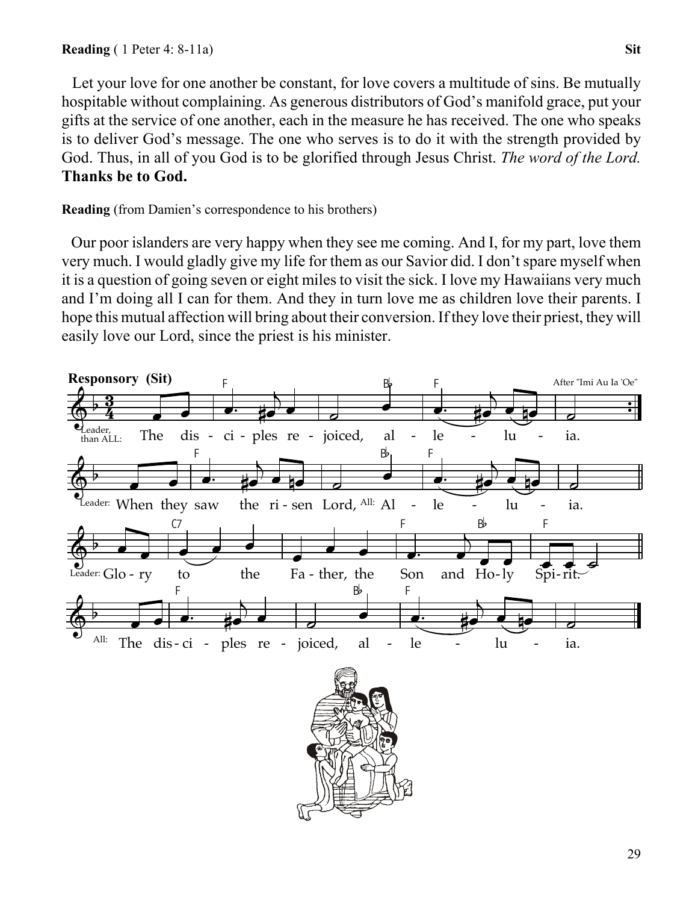Let your love for one another be constant, for love covers a multitude of sins. Be mutually hospitable without complaining. As generous distributors of God's manifold grace, put your gifts at the service of one another, each in the measure he has received. The one who speaks is to deliver God's message. The one who serves is to do it with the strength provided by God. Thus, in all of you God is to be glorified through Jesus Christ. *The word of the Lord.* **Thanks be to God.**

**Reading** (from Damien's correspondence to his brothers)

 Our poor islanders are very happy when they see me coming. And I, for my part, love them very much. I would gladly give my life for them as our Savior did. I don't spare myself when it is a question of going seven or eight miles to visit the sick. I love my Hawaiians very much and I'm doing all I can for them. And they in turn love me as children love their parents. I hope this mutual affection will bring about their conversion. If they love their priest, they will easily love our Lord, since the priest is his minister.

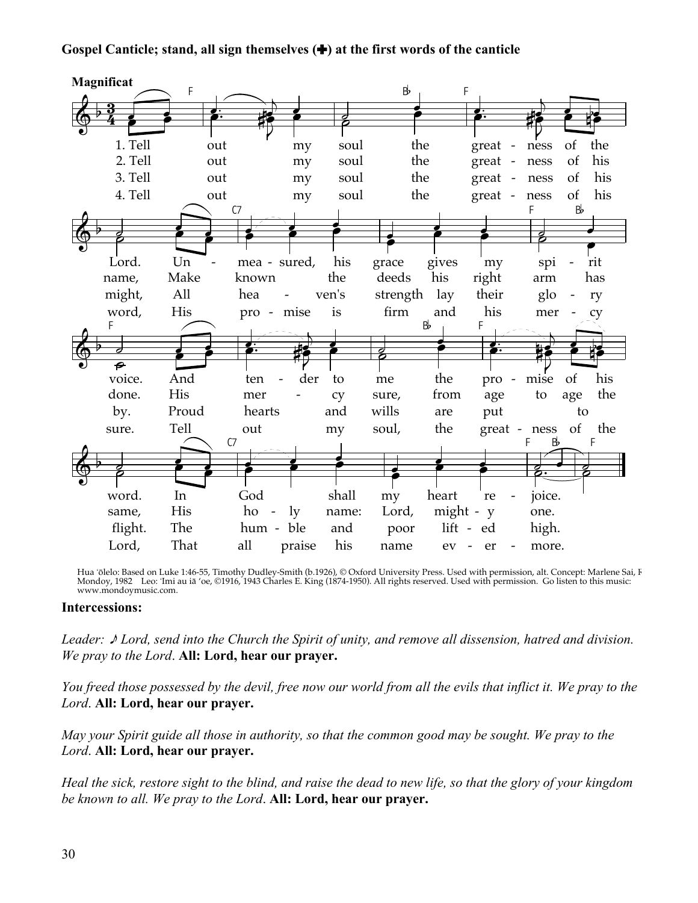# Gospel Canticle; stand, all sign themselves  $(\bigstar)$  at the first words of the canticle



Hua 'ōlelo: Based on Luke 1:46-55, Timothy Dudley-Smith (b.1926), © Oxford University Press. Used with permission, alt. Concept: Marlene Sai, I<br>Mondoy, 1982 Leo: 'Imi au iā 'oe, ©1916, 1943 Charles E. King (1874-1950). All www.mondoymusic.com.

#### **Intercessions:**

Leader:  $\triangle$  Lord, send into the Church the Spirit of unity, and remove all dissension, hatred and division. We pray to the Lord. All: Lord, hear our prayer.

You freed those possessed by the devil, free now our world from all the evils that inflict it. We pray to the Lord. All: Lord, hear our prayer.

May your Spirit guide all those in authority, so that the common good may be sought. We pray to the Lord. All: Lord, hear our prayer.

Heal the sick, restore sight to the blind, and raise the dead to new life, so that the glory of your kingdom be known to all. We pray to the Lord. All: Lord, hear our prayer.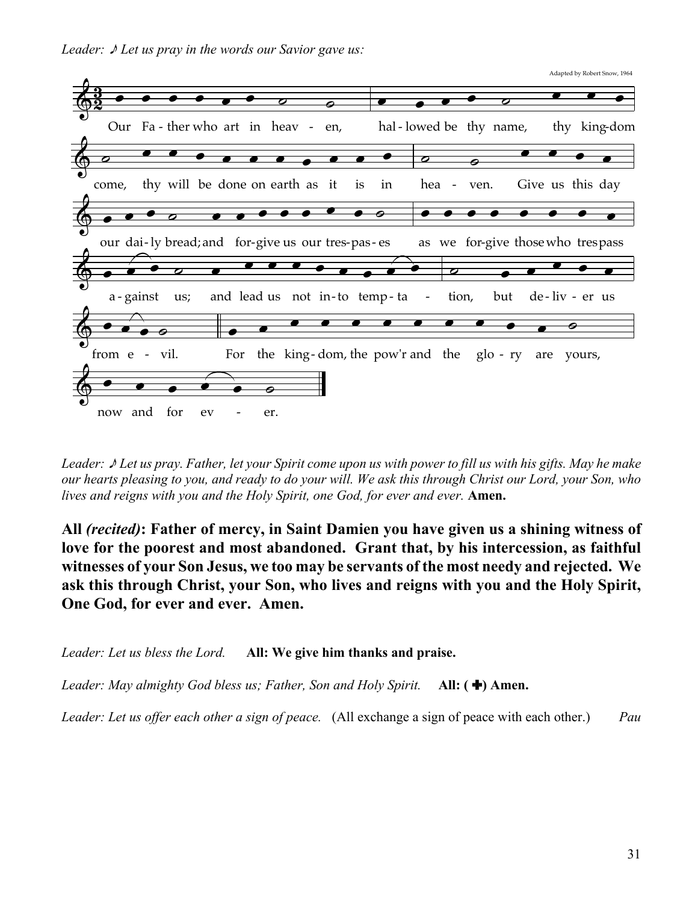*Leader:*  $\sqrt{\ }$  *Let us pray in the words our Savior gave us:* 



*Leader:* \* *Let us pray. Father, let your Spirit come upon us with power to fill us with his gifts. May he make our hearts pleasing to you, and ready to do your will. We ask this through Christ our Lord, your Son, who lives and reigns with you and the Holy Spirit, one God, for ever and ever.* **Amen.**

**All** *(recited)***: Father of mercy, in Saint Damien you have given us a shining witness of love for the poorest and most abandoned. Grant that, by his intercession, as faithful witnesses of your Son Jesus, we too may be servants of the most needy and rejected. We ask this through Christ, your Son, who lives and reigns with you and the Holy Spirit, One God, for ever and ever. Amen.**

*Leader: Let us bless the Lord.* **All: We give him thanks and praise.**

*Leader: May almighty God bless us; Father, Son and Holy Spirit.* **All: (+) Amen.** 

*Leader: Let us offer each other a sign of peace.* (All exchange a sign of peace with each other.) *Pau*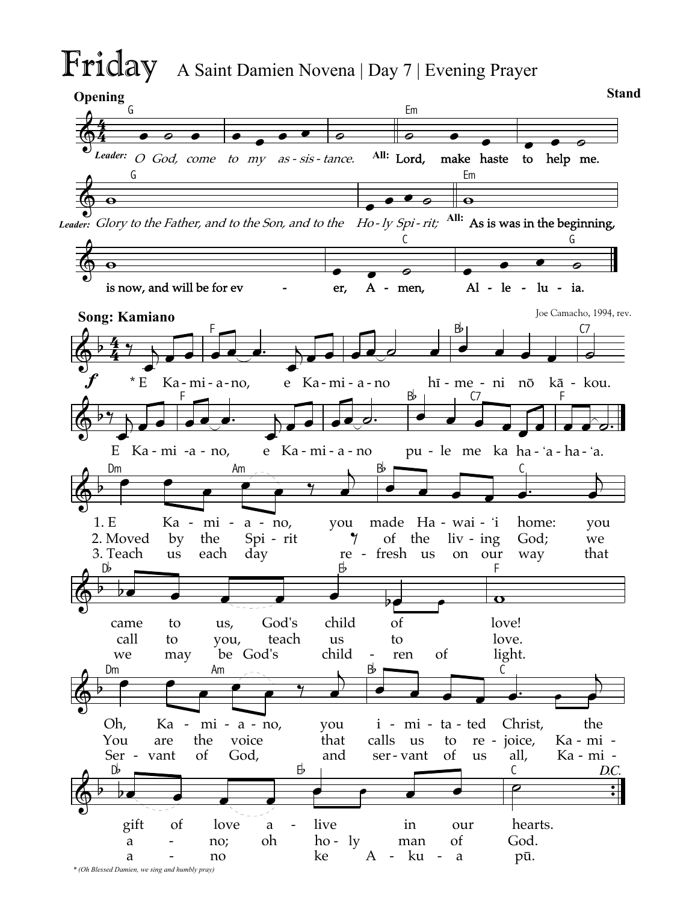# Friday A Saint Damien Novena | Day 7 | Evening Prayer

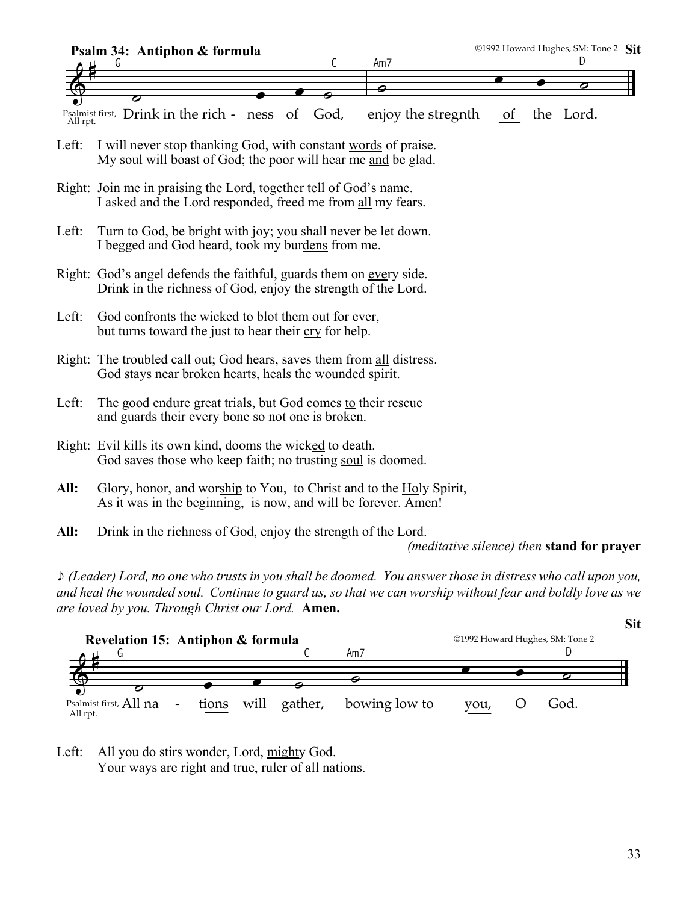

*(meditative silence) then* **stand for prayer**

\* *(Leader) Lord, no one who trusts in you shall be doomed. You answer those in distress who call upon you, and heal the wounded soul. Continue to guard us, so that we can worship without fear and boldly love as we are loved by you. Through Christ our Lord.* **Amen.**



Left: All you do stirs wonder, Lord, mighty God. Your ways are right and true, ruler of all nations.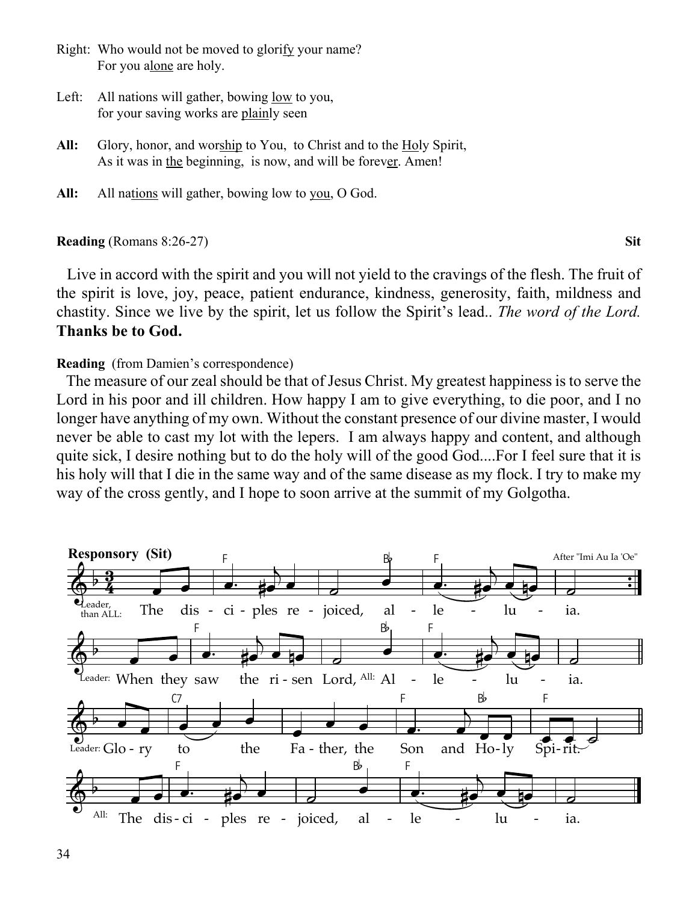- Right: Who would not be moved to glorify your name? For you alone are holy.
- Left: All nations will gather, bowing low to you, for your saving works are plainly seen
- All: Glory, honor, and worship to You, to Christ and to the Holy Spirit, As it was in the beginning, is now, and will be forever. Amen!
- All: All nations will gather, bowing low to you, O God.

### **Reading** (Romans 8:26-27) **Sit**

 Live in accord with the spirit and you will not yield to the cravings of the flesh. The fruit of the spirit is love, joy, peace, patient endurance, kindness, generosity, faith, mildness and chastity. Since we live by the spirit, let us follow the Spirit's lead.. *The word of the Lord.* **Thanks be to God.**

# **Reading** (from Damien's correspondence)

 The measure of our zeal should be that of Jesus Christ. My greatest happiness is to serve the Lord in his poor and ill children. How happy I am to give everything, to die poor, and I no longer have anything of my own. Without the constant presence of our divine master, I would never be able to cast my lot with the lepers. I am always happy and content, and although quite sick, I desire nothing but to do the holy will of the good God....For I feel sure that it is his holy will that I die in the same way and of the same disease as my flock. I try to make my way of the cross gently, and I hope to soon arrive at the summit of my Golgotha.

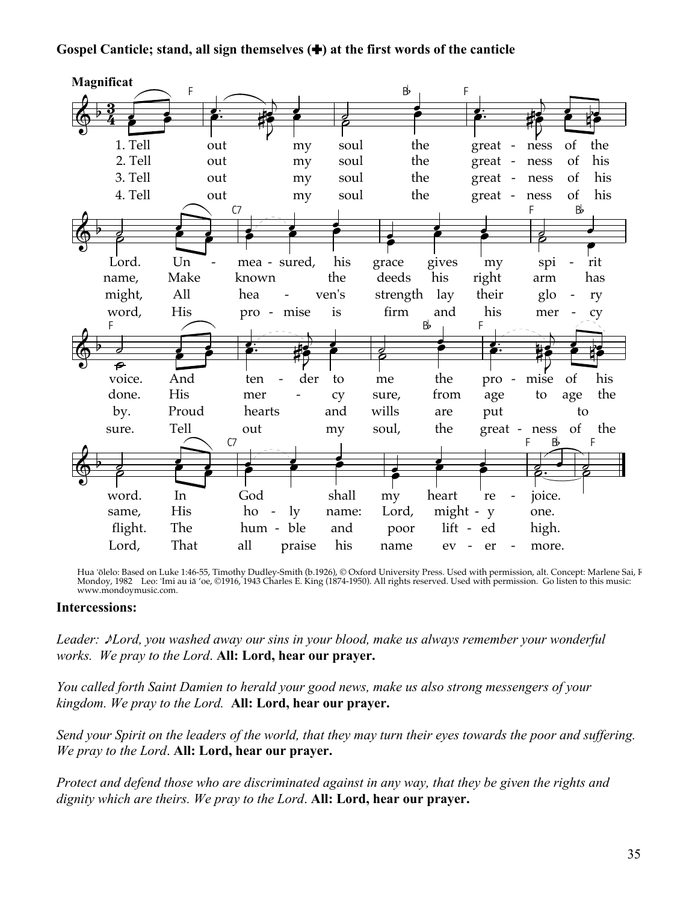# Gospel Canticle; stand, all sign themselves  $(\bigstar)$  at the first words of the canticle



Hua 'ōlelo: Based on Luke 1:46-55, Timothy Dudley-Smith (b.1926), © Oxford University Press. Used with permission, alt. Concept: Marlene Sai, I<br>Mondoy, 1982 Leo: 'Imi au iā 'oe, ©1916, 1943 Charles E. King (1874-1950). All www.mondoymusic.com.

#### **Intercessions:**

Leader: Mord, you washed away our sins in your blood, make us always remember your wonderful works. We pray to the Lord. All: Lord, hear our prayer.

You called forth Saint Damien to herald your good news, make us also strong messengers of your kingdom. We pray to the Lord. All: Lord, hear our prayer.

Send your Spirit on the leaders of the world, that they may turn their eyes towards the poor and suffering. We pray to the Lord. All: Lord, hear our prayer.

Protect and defend those who are discriminated against in any way, that they be given the rights and dignity which are theirs. We pray to the Lord. All: Lord, hear our prayer.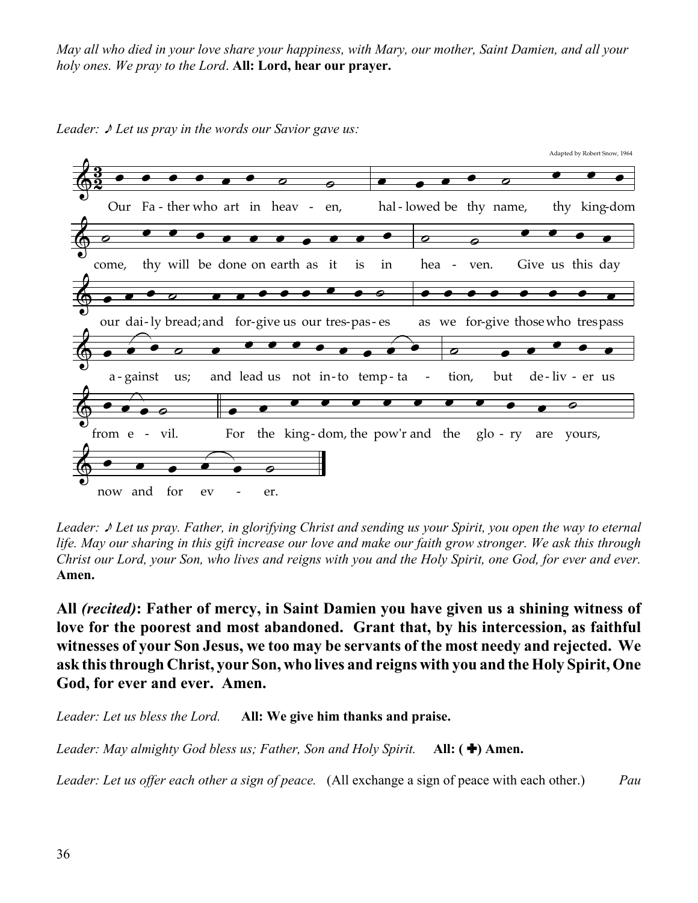*May all who died in your love share your happiness, with Mary, our mother, Saint Damien, and all your holy ones. We pray to the Lord*. **All: Lord, hear our prayer.**



*Leader:*  $\sqrt{\ }$  *Let us pray in the words our Savior gave us:* 

*Leader:* \* *Let us pray. Father, in glorifying Christ and sending us your Spirit, you open the way to eternal life. May our sharing in this gift increase our love and make our faith grow stronger. We ask this through Christ our Lord, your Son, who lives and reigns with you and the Holy Spirit, one God, for ever and ever.* **Amen.**

**All** *(recited)***: Father of mercy, in Saint Damien you have given us a shining witness of love for the poorest and most abandoned. Grant that, by his intercession, as faithful witnesses of your Son Jesus, we too may be servants of the most needy and rejected. We ask this through Christ, your Son, who lives and reigns with you and the Holy Spirit, One God, for ever and ever. Amen.**

*Leader: Let us bless the Lord.* **All: We give him thanks and praise.**

*Leader: May almighty God bless us; Father, Son and Holy Spirit.* **All: (+) Amen.** 

*Leader: Let us offer each other a sign of peace.* (All exchange a sign of peace with each other.) *Pau*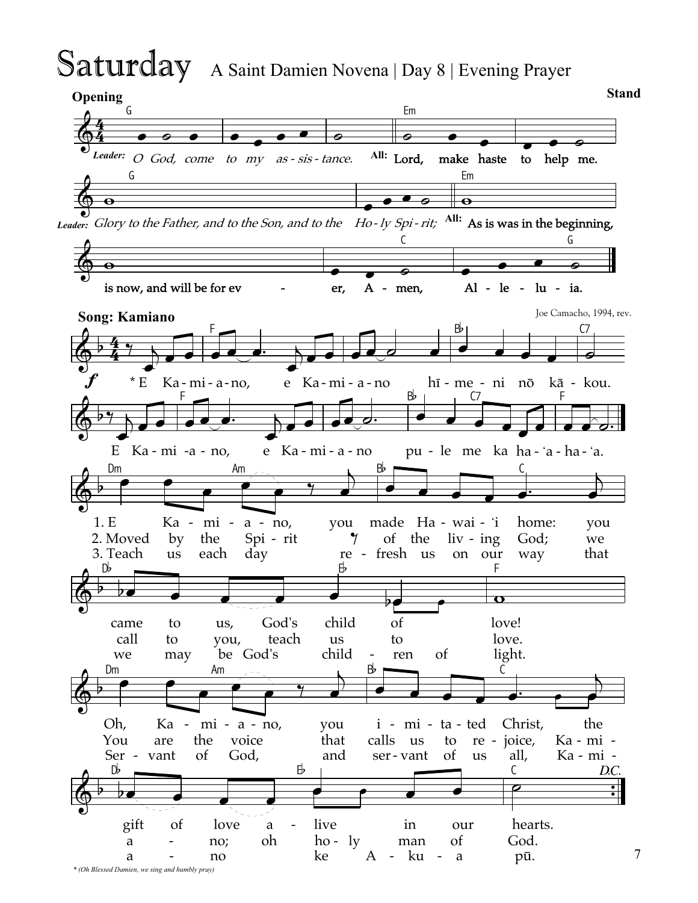# Saturday A Saint Damien Novena | Day 8 | Evening Prayer

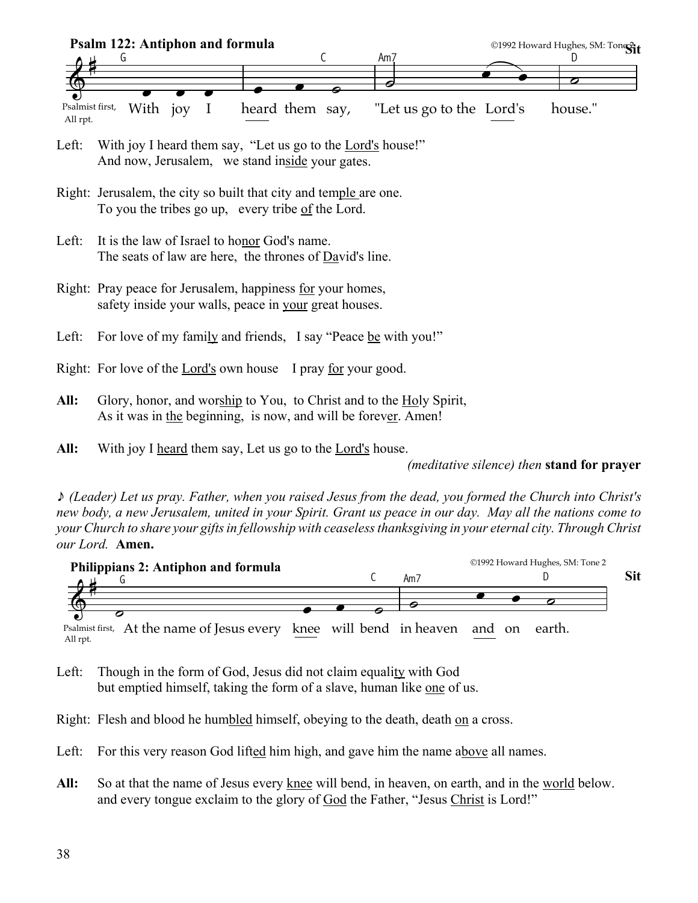

- Left: With joy I heard them say, "Let us go to the Lord's house!" And now, Jerusalem, we stand inside your gates.
- Right: Jerusalem, the city so built that city and temple are one. To you the tribes go up, every tribe of the Lord.
- Left: It is the law of Israel to honor God's name. The seats of law are here, the thrones of David's line.
- Right: Pray peace for Jerusalem, happiness for your homes, safety inside your walls, peace in your great houses.
- Left: For love of my family and friends, I say "Peace be with you!"
- Right: For love of the Lord's own house I pray for your good.
- **All:** Glory, honor, and worship to You, to Christ and to the Holy Spirit, As it was in the beginning, is now, and will be forever. Amen!
- **All:** With joy I heard them say, Let us go to the Lord's house.

*(meditative silence) then* **stand for prayer**

\* *(Leader) Let us pray. Father, when you raised Jesus from the dead, you formed the Church into Christ's new body, a new Jerusalem, united in your Spirit. Grant us peace in our day. May all the nations come to your Church to share your gifts in fellowship with ceaseless thanksgiving in your eternal city. Through Christ our Lord.* **Amen.**



Psalmist first, At the name of Jesus every knee will bend in heaven<br>All rpt. and on

- Left: Though in the form of God, Jesus did not claim equality with God but emptied himself, taking the form of a slave, human like one of us.
- Right: Flesh and blood he humbled himself, obeying to the death, death on a cross.
- Left: For this very reason God lifted him high, and gave him the name above all names.
- **All:** So at that the name of Jesus every knee will bend, in heaven, on earth, and in the world below. and every tongue exclaim to the glory of God the Father, "Jesus Christ is Lord!"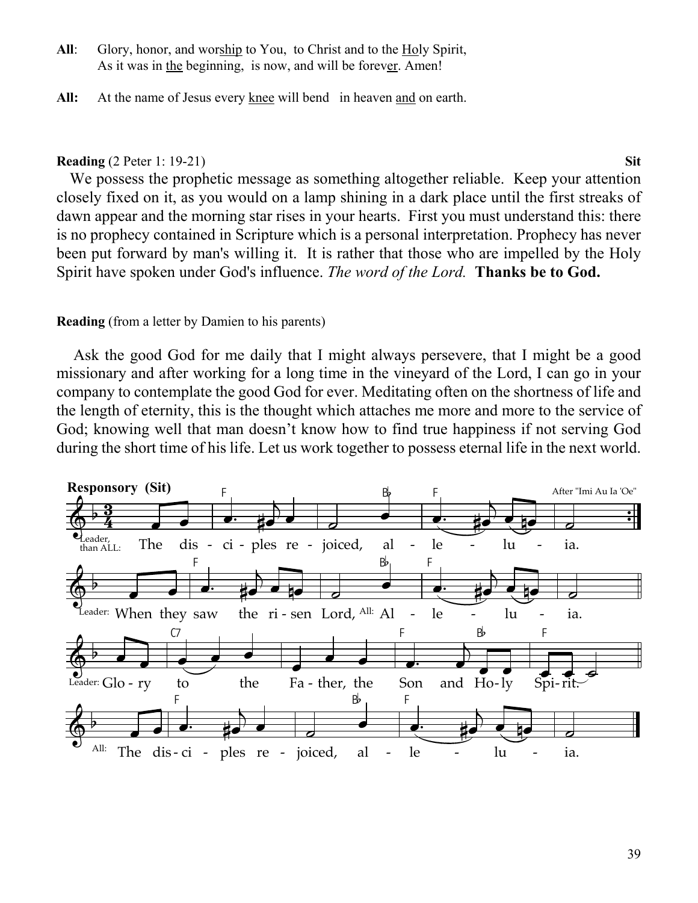- All: Glory, honor, and worship to You, to Christ and to the Holy Spirit, As it was in the beginning, is now, and will be forever. Amen!
- **All:** At the name of Jesus every knee will bend in heaven and on earth.

# **Reading** (2 Peter 1: 19-21) **Sit**

We possess the prophetic message as something altogether reliable. Keep your attention closely fixed on it, as you would on a lamp shining in a dark place until the first streaks of dawn appear and the morning star rises in your hearts. First you must understand this: there is no prophecy contained in Scripture which is a personal interpretation. Prophecy has never been put forward by man's willing it. It is rather that those who are impelled by the Holy Spirit have spoken under God's influence. *The word of the Lord.* **Thanks be to God.**

# **Reading** (from a letter by Damien to his parents)

 Ask the good God for me daily that I might always persevere, that I might be a good missionary and after working for a long time in the vineyard of the Lord, I can go in your company to contemplate the good God for ever. Meditating often on the shortness of life and the length of eternity, this is the thought which attaches me more and more to the service of God; knowing well that man doesn't know how to find true happiness if not serving God during the short time of his life. Let us work together to possess eternal life in the next world.

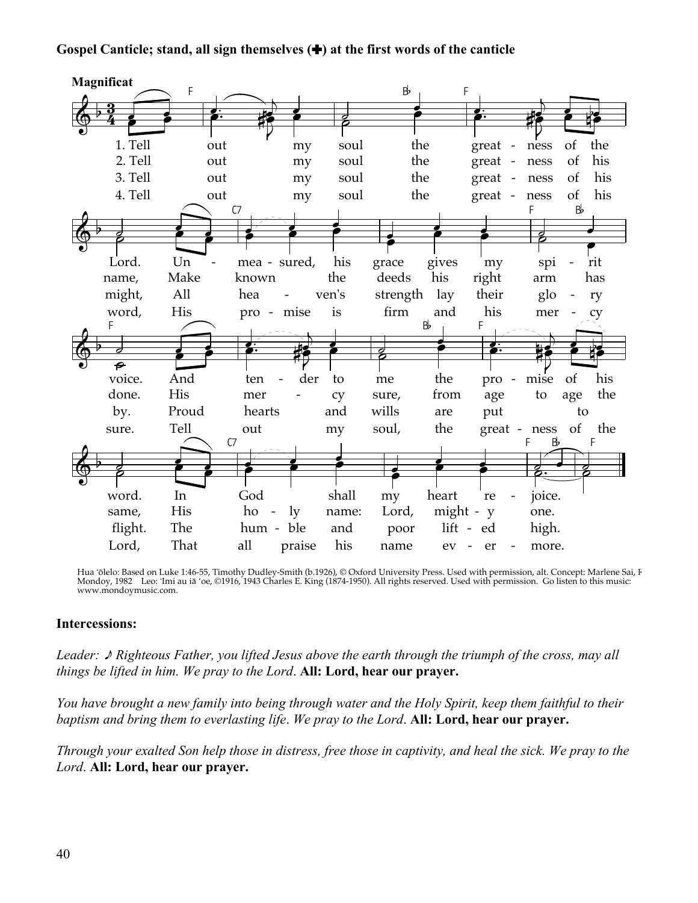# Gospel Canticle; stand, all sign themselves  $(\bigstar)$  at the first words of the canticle



Hua 'ōlelo: Based on Luke 1:46-55, Timothy Dudley-Smith (b.1926), © Oxford University Press. Used with permission, alt. Concept: Marlene Sai, I<br>Mondoy, 1982 Leo: 'Imi au iā 'oe, ©1916, 1943 Charles E. King (1874-1950). All www.mondoymusic.com.

#### **Intercessions:**

Leader:  $\triangle$  Righteous Father, you lifted Jesus above the earth through the triumph of the cross, may all things be lifted in him. We pray to the Lord. All: Lord, hear our prayer.

You have brought a new family into being through water and the Holy Spirit, keep them faithful to their baptism and bring them to everlasting life. We pray to the Lord. All: Lord, hear our prayer.

Through your exalted Son help those in distress, free those in captivity, and heal the sick. We pray to the Lord. All: Lord, hear our prayer.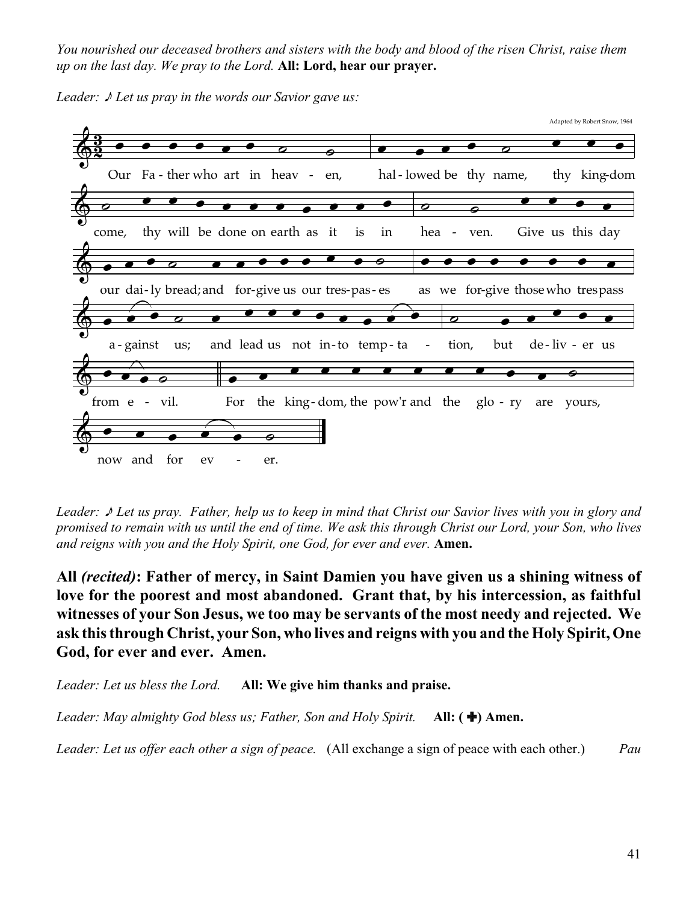*You nourished our deceased brothers and sisters with the body and blood of the risen Christ, raise them up on the last day. We pray to the Lord.* **All: Lord, hear our prayer.**





*Leader:* \* *Let us pray. Father, help us to keep in mind that Christ our Savior lives with you in glory and promised to remain with us until the end of time. We ask this through Christ our Lord, your Son, who lives and reigns with you and the Holy Spirit, one God, for ever and ever.* **Amen.**

**All** *(recited)***: Father of mercy, in Saint Damien you have given us a shining witness of love for the poorest and most abandoned. Grant that, by his intercession, as faithful witnesses of your Son Jesus, we too may be servants of the most needy and rejected. We ask this through Christ, your Son, who lives and reigns with you and the Holy Spirit, One God, for ever and ever. Amen.**

*Leader: Let us bless the Lord.* **All: We give him thanks and praise.**

*Leader: May almighty God bless us; Father, Son and Holy Spirit.* **All: (+) Amen.** 

*Leader: Let us offer each other a sign of peace.* (All exchange a sign of peace with each other.) *Pau*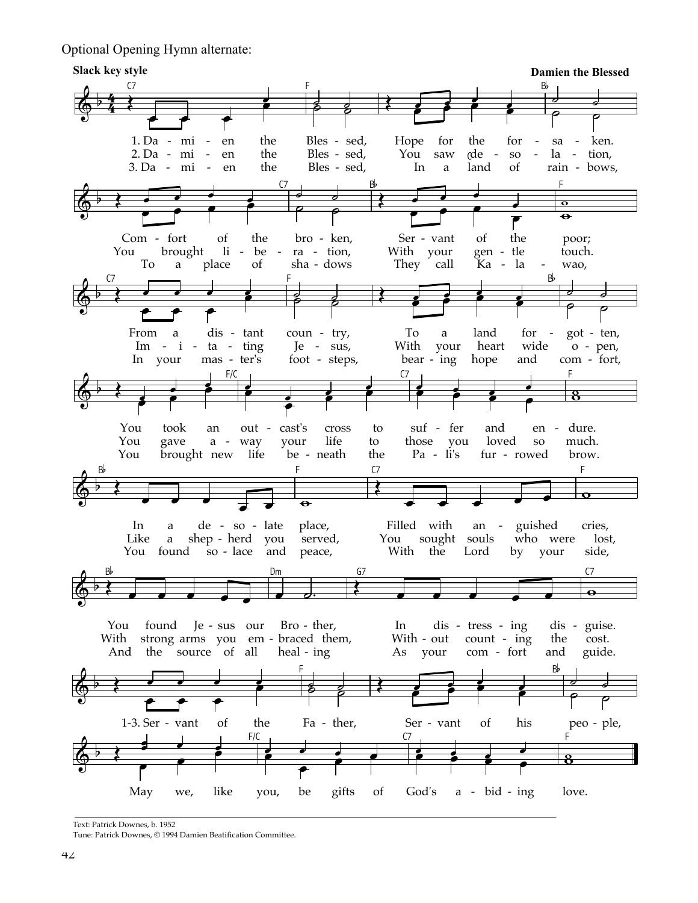Optional Opening Hymn alternate:



Text: Patrick Downes, b. 1952

Tune: Patrick Downes, © 1994 Damien Beatification Committee.